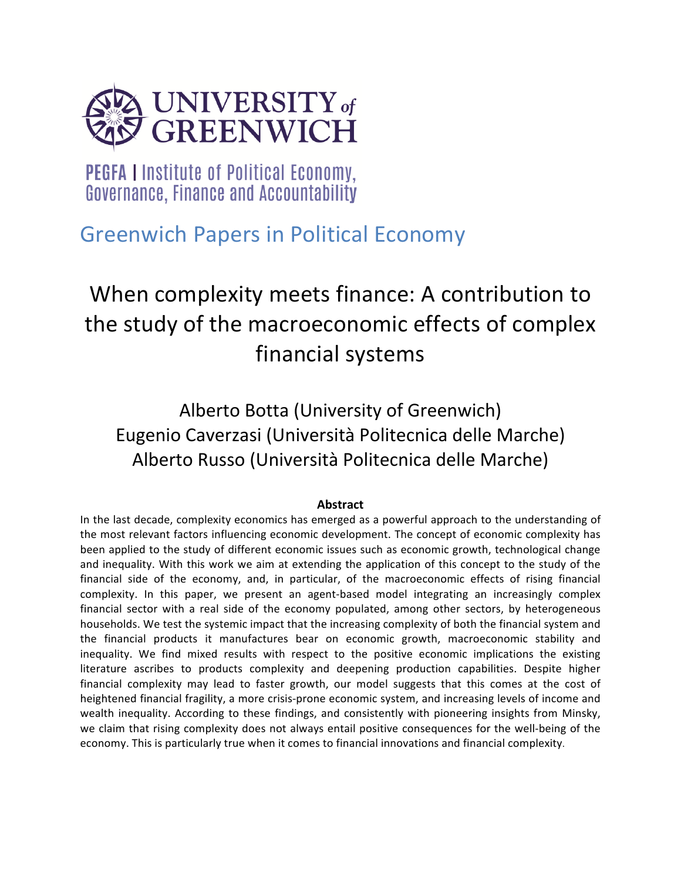

**PEGFA I Institute of Political Economy,** Governance, Finance and Accountability

## Greenwich Papers in Political Economy

# When complexity meets finance: A contribution to the study of the macroeconomic effects of complex financial systems

Alberto Botta (University of Greenwich) Eugenio Caverzasi (Università Politecnica delle Marche) Alberto Russo (Università Politecnica delle Marche)

## **Abstract**

In the last decade, complexity economics has emerged as a powerful approach to the understanding of the most relevant factors influencing economic development. The concept of economic complexity has been applied to the study of different economic issues such as economic growth, technological change and inequality. With this work we aim at extending the application of this concept to the study of the financial side of the economy, and, in particular, of the macroeconomic effects of rising financial complexity. In this paper, we present an agent-based model integrating an increasingly complex financial sector with a real side of the economy populated, among other sectors, by heterogeneous households. We test the systemic impact that the increasing complexity of both the financial system and the financial products it manufactures bear on economic growth, macroeconomic stability and inequality. We find mixed results with respect to the positive economic implications the existing literature ascribes to products complexity and deepening production capabilities. Despite higher financial complexity may lead to faster growth, our model suggests that this comes at the cost of heightened financial fragility, a more crisis-prone economic system, and increasing levels of income and wealth inequality. According to these findings, and consistently with pioneering insights from Minsky, we claim that rising complexity does not always entail positive consequences for the well-being of the economy. This is particularly true when it comes to financial innovations and financial complexity.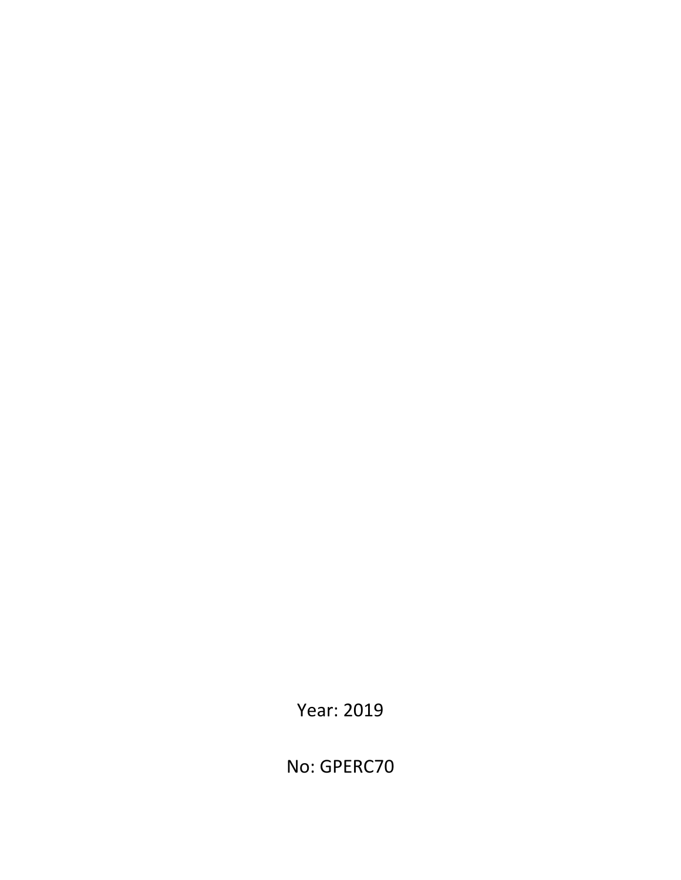Year: 2019

No: GPERC70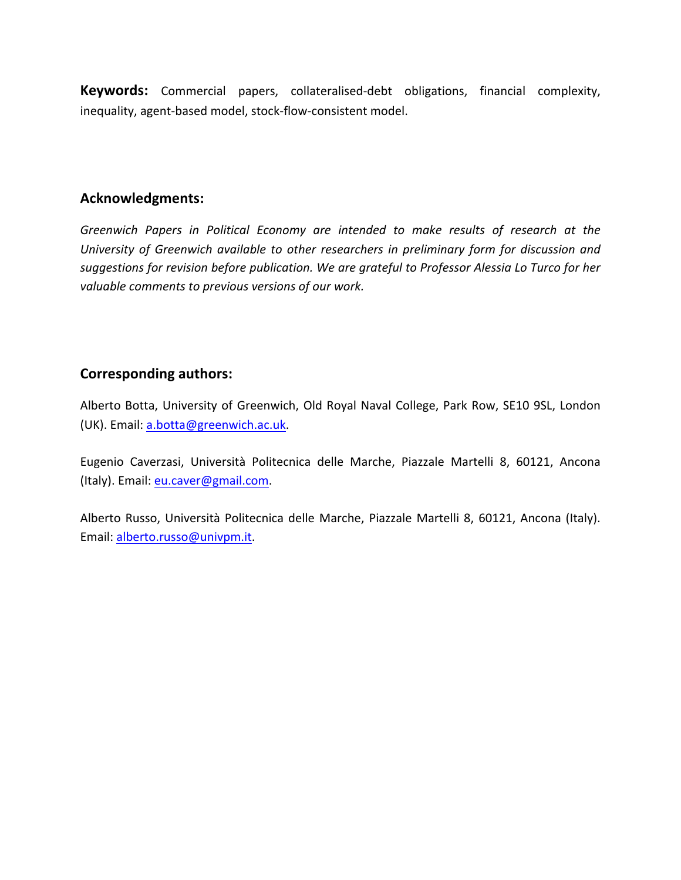**Keywords:** Commercial papers, collateralised-debt obligations, financial complexity, inequality, agent-based model, stock-flow-consistent model.

## **Acknowledgments:**

Greenwich Papers in Political Economy are intended to make results of research at the University of Greenwich available to other researchers in preliminary form for discussion and suggestions for revision before publication. We are grateful to Professor Alessia Lo Turco for her valuable comments to previous versions of our work.

## **Corresponding authors:**

Alberto Botta, University of Greenwich, Old Royal Naval College, Park Row, SE10 9SL, London (UK). Email: a.botta@greenwich.ac.uk.

Eugenio Caverzasi, Università Politecnica delle Marche, Piazzale Martelli 8, 60121, Ancona (Italy). Email: eu.caver@gmail.com.

Alberto Russo, Università Politecnica delle Marche, Piazzale Martelli 8, 60121, Ancona (Italy). Email: alberto.russo@univpm.it.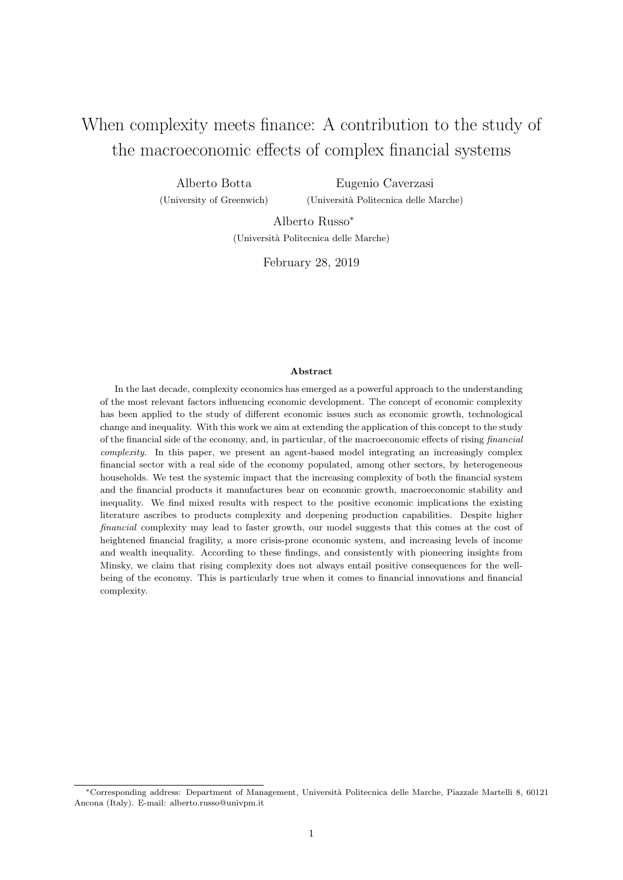## When complexity meets finance: A contribution to the study of the macroeconomic effects of complex financial systems

Alberto Botta (University of Greenwich) Eugenio Caverzasi (Universit`a Politecnica delle Marche)

> Alberto Russo<sup>∗</sup> (Universit`a Politecnica delle Marche)

> > February 28, 2019

#### Abstract

In the last decade, complexity economics has emerged as a powerful approach to the understanding of the most relevant factors influencing economic development. The concept of economic complexity has been applied to the study of different economic issues such as economic growth, technological change and inequality. With this work we aim at extending the application of this concept to the study of the financial side of the economy, and, in particular, of the macroeconomic effects of rising financial complexity. In this paper, we present an agent-based model integrating an increasingly complex financial sector with a real side of the economy populated, among other sectors, by heterogeneous households. We test the systemic impact that the increasing complexity of both the financial system and the financial products it manufactures bear on economic growth, macroeconomic stability and inequality. We find mixed results with respect to the positive economic implications the existing literature ascribes to products complexity and deepening production capabilities. Despite higher financial complexity may lead to faster growth, our model suggests that this comes at the cost of heightened financial fragility, a more crisis-prone economic system, and increasing levels of income and wealth inequality. According to these findings, and consistently with pioneering insights from Minsky, we claim that rising complexity does not always entail positive consequences for the wellbeing of the economy. This is particularly true when it comes to financial innovations and financial complexity.

<sup>∗</sup>Corresponding address: Department of Management, Universit`a Politecnica delle Marche, Piazzale Martelli 8, 60121 Ancona (Italy). E-mail: alberto.russo@univpm.it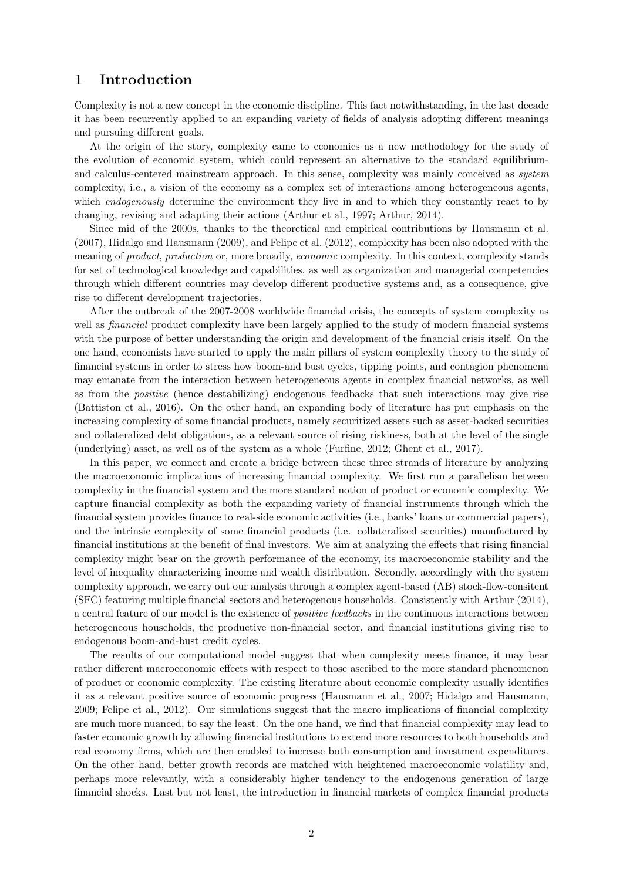## 1 Introduction

Complexity is not a new concept in the economic discipline. This fact notwithstanding, in the last decade it has been recurrently applied to an expanding variety of fields of analysis adopting different meanings and pursuing different goals.

At the origin of the story, complexity came to economics as a new methodology for the study of the evolution of economic system, which could represent an alternative to the standard equilibriumand calculus-centered mainstream approach. In this sense, complexity was mainly conceived as system complexity, i.e., a vision of the economy as a complex set of interactions among heterogeneous agents, which *endogenously* determine the environment they live in and to which they constantly react to by changing, revising and adapting their actions [\(Arthur et al., 1997; Arthur, 2014\)](#page-26-0).

Since mid of the 2000s, thanks to the theoretical and empirical contributions by [Hausmann et al.](#page-27-0) [\(2007\)](#page-27-0), [Hidalgo and Hausmann](#page-27-0) [\(2009\)](#page-27-0), and [Felipe et al.](#page-26-0) [\(2012\)](#page-26-0), complexity has been also adopted with the meaning of product, production or, more broadly, economic complexity. In this context, complexity stands for set of technological knowledge and capabilities, as well as organization and managerial competencies through which different countries may develop different productive systems and, as a consequence, give rise to different development trajectories.

After the outbreak of the 2007-2008 worldwide financial crisis, the concepts of system complexity as well as *financial* product complexity have been largely applied to the study of modern financial systems with the purpose of better understanding the origin and development of the financial crisis itself. On the one hand, economists have started to apply the main pillars of system complexity theory to the study of financial systems in order to stress how boom-and bust cycles, tipping points, and contagion phenomena may emanate from the interaction between heterogeneous agents in complex financial networks, as well as from the positive (hence destabilizing) endogenous feedbacks that such interactions may give rise [\(Battiston et al., 2016\)](#page-26-0). On the other hand, an expanding body of literature has put emphasis on the increasing complexity of some financial products, namely securitized assets such as asset-backed securities and collateralized debt obligations, as a relevant source of rising riskiness, both at the level of the single (underlying) asset, as well as of the system as a whole [\(Furfine, 2012; Ghent et al., 2017\)](#page-26-0).

In this paper, we connect and create a bridge between these three strands of literature by analyzing the macroeconomic implications of increasing financial complexity. We first run a parallelism between complexity in the financial system and the more standard notion of product or economic complexity. We capture financial complexity as both the expanding variety of financial instruments through which the financial system provides finance to real-side economic activities (i.e., banks' loans or commercial papers), and the intrinsic complexity of some financial products (i.e. collateralized securities) manufactured by financial institutions at the benefit of final investors. We aim at analyzing the effects that rising financial complexity might bear on the growth performance of the economy, its macroeconomic stability and the level of inequality characterizing income and wealth distribution. Secondly, accordingly with the system complexity approach, we carry out our analysis through a complex agent-based (AB) stock-flow-consitent (SFC) featuring multiple financial sectors and heterogenous households. Consistently with [Arthur](#page-26-0) [\(2014\)](#page-26-0), a central feature of our model is the existence of positive feedbacks in the continuous interactions between heterogeneous households, the productive non-financial sector, and financial institutions giving rise to endogenous boom-and-bust credit cycles.

The results of our computational model suggest that when complexity meets finance, it may bear rather different macroeconomic effects with respect to those ascribed to the more standard phenomenon of product or economic complexity. The existing literature about economic complexity usually identifies it as a relevant positive source of economic progress [\(Hausmann et al., 2007; Hidalgo and Hausmann,](#page-27-0) [2009;](#page-27-0) [Felipe et al., 2012\)](#page-26-0). Our simulations suggest that the macro implications of financial complexity are much more nuanced, to say the least. On the one hand, we find that financial complexity may lead to faster economic growth by allowing financial institutions to extend more resources to both households and real economy firms, which are then enabled to increase both consumption and investment expenditures. On the other hand, better growth records are matched with heightened macroeconomic volatility and, perhaps more relevantly, with a considerably higher tendency to the endogenous generation of large financial shocks. Last but not least, the introduction in financial markets of complex financial products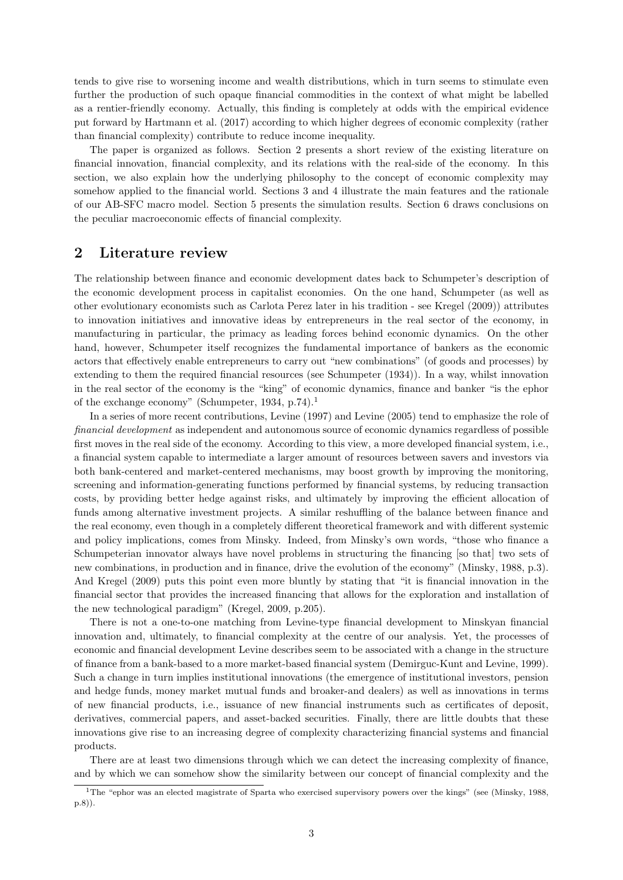<span id="page-5-0"></span>tends to give rise to worsening income and wealth distributions, which in turn seems to stimulate even further the production of such opaque financial commodities in the context of what might be labelled as a rentier-friendly economy. Actually, this finding is completely at odds with the empirical evidence put forward by [Hartmann et al.](#page-27-0) [\(2017\)](#page-27-0) according to which higher degrees of economic complexity (rather than financial complexity) contribute to reduce income inequality.

The paper is organized as follows. Section 2 presents a short review of the existing literature on financial innovation, financial complexity, and its relations with the real-side of the economy. In this section, we also explain how the underlying philosophy to the concept of economic complexity may somehow applied to the financial world. Sections 3 and 4 illustrate the main features and the rationale of our AB-SFC macro model. Section 5 presents the simulation results. Section 6 draws conclusions on the peculiar macroeconomic effects of financial complexity.

## 2 Literature review

The relationship between finance and economic development dates back to Schumpeter's description of the economic development process in capitalist economies. On the one hand, Schumpeter (as well as other evolutionary economists such as Carlota Perez later in his tradition - see [Kregel](#page-27-0) [\(2009\)](#page-27-0)) attributes to innovation initiatives and innovative ideas by entrepreneurs in the real sector of the economy, in manufacturing in particular, the primacy as leading forces behind economic dynamics. On the other hand, however, Schumpeter itself recognizes the fundamental importance of bankers as the economic actors that effectively enable entrepreneurs to carry out "new combinations" (of goods and processes) by extending to them the required financial resources (see [Schumpeter](#page-27-0) [\(1934\)](#page-27-0)). In a way, whilst innovation in the real sector of the economy is the "king" of economic dynamics, finance and banker "is the ephor of the exchange economy" [\(Schumpeter, 1934,](#page-27-0) p.74).<sup>1</sup>

In a series of more recent contributions, [Levine](#page-27-0) [\(1997\)](#page-27-0) and [Levine](#page-27-0) [\(2005\)](#page-27-0) tend to emphasize the role of financial development as independent and autonomous source of economic dynamics regardless of possible first moves in the real side of the economy. According to this view, a more developed financial system, i.e., a financial system capable to intermediate a larger amount of resources between savers and investors via both bank-centered and market-centered mechanisms, may boost growth by improving the monitoring, screening and information-generating functions performed by financial systems, by reducing transaction costs, by providing better hedge against risks, and ultimately by improving the efficient allocation of funds among alternative investment projects. A similar reshuffling of the balance between finance and the real economy, even though in a completely different theoretical framework and with different systemic and policy implications, comes from Minsky. Indeed, from Minsky's own words, "those who finance a Schumpeterian innovator always have novel problems in structuring the financing [so that] two sets of new combinations, in production and in finance, drive the evolution of the economy" [\(Minsky, 1988,](#page-27-0) p.3). And [Kregel](#page-27-0) [\(2009\)](#page-27-0) puts this point even more bluntly by stating that "it is financial innovation in the financial sector that provides the increased financing that allows for the exploration and installation of the new technological paradigm" [\(Kregel, 2009,](#page-27-0) p.205).

There is not a one-to-one matching from Levine-type financial development to Minskyan financial innovation and, ultimately, to financial complexity at the centre of our analysis. Yet, the processes of economic and financial development Levine describes seem to be associated with a change in the structure of finance from a bank-based to a more market-based financial system [\(Demirguc-Kunt and Levine, 1999\)](#page-26-0). Such a change in turn implies institutional innovations (the emergence of institutional investors, pension and hedge funds, money market mutual funds and broaker-and dealers) as well as innovations in terms of new financial products, i.e., issuance of new financial instruments such as certificates of deposit, derivatives, commercial papers, and asset-backed securities. Finally, there are little doubts that these innovations give rise to an increasing degree of complexity characterizing financial systems and financial products.

There are at least two dimensions through which we can detect the increasing complexity of finance, and by which we can somehow show the similarity between our concept of financial complexity and the

<sup>&</sup>lt;sup>1</sup>The "ephor was an elected magistrate of Sparta who exercised supervisory powers over the kings" (see [\(Minsky, 1988,](#page-27-0) p.8)).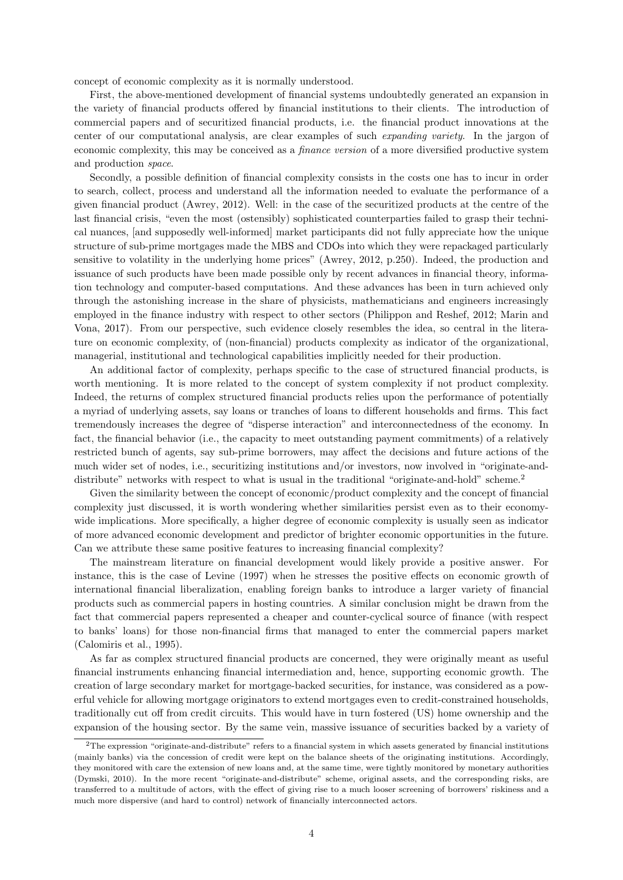concept of economic complexity as it is normally understood.

First, the above-mentioned development of financial systems undoubtedly generated an expansion in the variety of financial products offered by financial institutions to their clients. The introduction of commercial papers and of securitized financial products, i.e. the financial product innovations at the center of our computational analysis, are clear examples of such expanding variety. In the jargon of economic complexity, this may be conceived as a finance version of a more diversified productive system and production space.

Secondly, a possible definition of financial complexity consists in the costs one has to incur in order to search, collect, process and understand all the information needed to evaluate the performance of a given financial product [\(Awrey, 2012\)](#page-26-0). Well: in the case of the securitized products at the centre of the last financial crisis, "even the most (ostensibly) sophisticated counterparties failed to grasp their technical nuances, [and supposedly well-informed] market participants did not fully appreciate how the unique structure of sub-prime mortgages made the MBS and CDOs into which they were repackaged particularly sensitive to volatility in the underlying home prices" [\(Awrey, 2012,](#page-26-0) p.250). Indeed, the production and issuance of such products have been made possible only by recent advances in financial theory, information technology and computer-based computations. And these advances has been in turn achieved only through the astonishing increase in the share of physicists, mathematicians and engineers increasingly employed in the finance industry with respect to other sectors [\(Philippon and Reshef, 2012; Marin and](#page-27-0) [Vona, 2017\)](#page-27-0). From our perspective, such evidence closely resembles the idea, so central in the literature on economic complexity, of (non-financial) products complexity as indicator of the organizational, managerial, institutional and technological capabilities implicitly needed for their production.

An additional factor of complexity, perhaps specific to the case of structured financial products, is worth mentioning. It is more related to the concept of system complexity if not product complexity. Indeed, the returns of complex structured financial products relies upon the performance of potentially a myriad of underlying assets, say loans or tranches of loans to different households and firms. This fact tremendously increases the degree of "disperse interaction" and interconnectedness of the economy. In fact, the financial behavior (i.e., the capacity to meet outstanding payment commitments) of a relatively restricted bunch of agents, say sub-prime borrowers, may affect the decisions and future actions of the much wider set of nodes, i.e., securitizing institutions and/or investors, now involved in "originate-anddistribute" networks with respect to what is usual in the traditional "originate-and-hold" scheme.<sup>2</sup>

Given the similarity between the concept of economic/product complexity and the concept of financial complexity just discussed, it is worth wondering whether similarities persist even as to their economywide implications. More specifically, a higher degree of economic complexity is usually seen as indicator of more advanced economic development and predictor of brighter economic opportunities in the future. Can we attribute these same positive features to increasing financial complexity?

The mainstream literature on financial development would likely provide a positive answer. For instance, this is the case of [Levine](#page-27-0) [\(1997\)](#page-27-0) when he stresses the positive effects on economic growth of international financial liberalization, enabling foreign banks to introduce a larger variety of financial products such as commercial papers in hosting countries. A similar conclusion might be drawn from the fact that commercial papers represented a cheaper and counter-cyclical source of finance (with respect to banks' loans) for those non-financial firms that managed to enter the commercial papers market [\(Calomiris et al., 1995\)](#page-26-0).

As far as complex structured financial products are concerned, they were originally meant as useful financial instruments enhancing financial intermediation and, hence, supporting economic growth. The creation of large secondary market for mortgage-backed securities, for instance, was considered as a powerful vehicle for allowing mortgage originators to extend mortgages even to credit-constrained households, traditionally cut off from credit circuits. This would have in turn fostered (US) home ownership and the expansion of the housing sector. By the same vein, massive issuance of securities backed by a variety of

<sup>2</sup>The expression "originate-and-distribute" refers to a financial system in which assets generated by financial institutions (mainly banks) via the concession of credit were kept on the balance sheets of the originating institutions. Accordingly, they monitored with care the extension of new loans and, at the same time, were tightly monitored by monetary authorities [\(Dymski, 2010\)](#page-26-0). In the more recent "originate-and-distribute" scheme, original assets, and the corresponding risks, are transferred to a multitude of actors, with the effect of giving rise to a much looser screening of borrowers' riskiness and a much more dispersive (and hard to control) network of financially interconnected actors.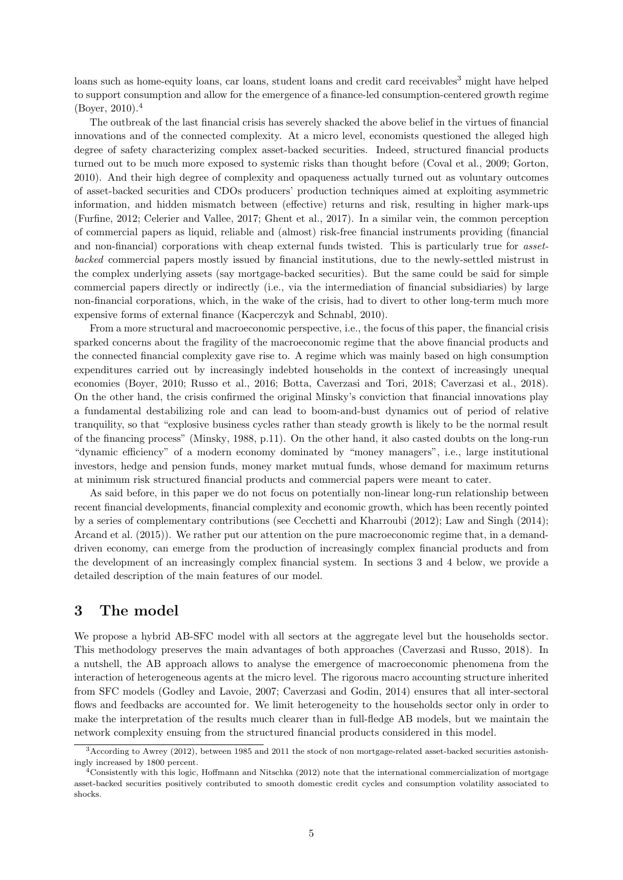<span id="page-7-0"></span>loans such as home-equity loans, car loans, student loans and credit card receivables<sup>3</sup> might have helped to support consumption and allow for the emergence of a finance-led consumption-centered growth regime  $(Bover, 2010).<sup>4</sup>$ 

The outbreak of the last financial crisis has severely shacked the above belief in the virtues of financial innovations and of the connected complexity. At a micro level, economists questioned the alleged high degree of safety characterizing complex asset-backed securities. Indeed, structured financial products turned out to be much more exposed to systemic risks than thought before [\(Coval et al., 2009;](#page-26-0) [Gorton,](#page-27-0) [2010\)](#page-27-0). And their high degree of complexity and opaqueness actually turned out as voluntary outcomes of asset-backed securities and CDOs producers' production techniques aimed at exploiting asymmetric information, and hidden mismatch between (effective) returns and risk, resulting in higher mark-ups [\(Furfine, 2012; Celerier and Vallee, 2017; Ghent et al., 2017\)](#page-26-0). In a similar vein, the common perception of commercial papers as liquid, reliable and (almost) risk-free financial instruments providing (financial and non-financial) corporations with cheap external funds twisted. This is particularly true for *asset*backed commercial papers mostly issued by financial institutions, due to the newly-settled mistrust in the complex underlying assets (say mortgage-backed securities). But the same could be said for simple commercial papers directly or indirectly (i.e., via the intermediation of financial subsidiaries) by large non-financial corporations, which, in the wake of the crisis, had to divert to other long-term much more expensive forms of external finance [\(Kacperczyk and Schnabl, 2010\)](#page-27-0).

From a more structural and macroeconomic perspective, i.e., the focus of this paper, the financial crisis sparked concerns about the fragility of the macroeconomic regime that the above financial products and the connected financial complexity gave rise to. A regime which was mainly based on high consumption expenditures carried out by increasingly indebted households in the context of increasingly unequal economies [\(Boyer, 2010;](#page-26-0) [Russo et al., 2016;](#page-27-0) [Botta, Caverzasi and Tori, 2018; Caverzasi et al., 2018\)](#page-26-0). On the other hand, the crisis confirmed the original Minsky's conviction that financial innovations play a fundamental destabilizing role and can lead to boom-and-bust dynamics out of period of relative tranquility, so that "explosive business cycles rather than steady growth is likely to be the normal result of the financing process" [\(Minsky, 1988,](#page-27-0) p.11). On the other hand, it also casted doubts on the long-run "dynamic efficiency" of a modern economy dominated by "money managers", i.e., large institutional investors, hedge and pension funds, money market mutual funds, whose demand for maximum returns at minimum risk structured financial products and commercial papers were meant to cater.

As said before, in this paper we do not focus on potentially non-linear long-run relationship between recent financial developments, financial complexity and economic growth, which has been recently pointed by a series of complementary contributions (see [Cecchetti and Kharroubi](#page-26-0) [\(2012\)](#page-26-0); [Law and Singh](#page-27-0) [\(2014\)](#page-27-0); [Arcand et al.](#page-26-0) [\(2015\)](#page-26-0)). We rather put our attention on the pure macroeconomic regime that, in a demanddriven economy, can emerge from the production of increasingly complex financial products and from the development of an increasingly complex financial system. In sections 3 and 4 below, we provide a detailed description of the main features of our model.

## 3 The model

We propose a hybrid AB-SFC model with all sectors at the aggregate level but the households sector. This methodology preserves the main advantages of both approaches [\(Caverzasi and Russo, 2018\)](#page-26-0). In a nutshell, the AB approach allows to analyse the emergence of macroeconomic phenomena from the interaction of heterogeneous agents at the micro level. The rigorous macro accounting structure inherited from SFC models [\(Godley and Lavoie, 2007;](#page-27-0) [Caverzasi and Godin, 2014\)](#page-26-0) ensures that all inter-sectoral flows and feedbacks are accounted for. We limit heterogeneity to the households sector only in order to make the interpretation of the results much clearer than in full-fledge AB models, but we maintain the network complexity ensuing from the structured financial products considered in this model.

<sup>3</sup>According to [Awrey](#page-26-0) [\(2012\)](#page-26-0), between 1985 and 2011 the stock of non mortgage-related asset-backed securities astonishingly increased by 1800 percent.

<sup>4</sup>Consistently with this logic, [Hoffmann and Nitschka](#page-27-0) [\(2012\)](#page-27-0) note that the international commercialization of mortgage asset-backed securities positively contributed to smooth domestic credit cycles and consumption volatility associated to shocks.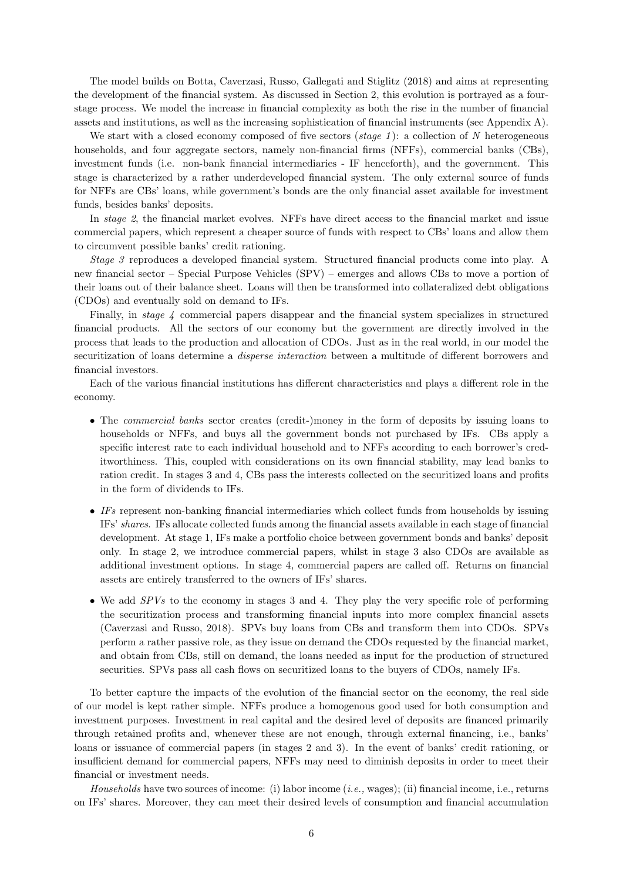The model builds on [Botta, Caverzasi, Russo, Gallegati and Stiglitz](#page-26-0) [\(2018\)](#page-26-0) and aims at representing the development of the financial system. As discussed in Section 2, this evolution is portrayed as a fourstage process. We model the increase in financial complexity as both the rise in the number of financial assets and institutions, as well as the increasing sophistication of financial instruments (see Appendix A).

We start with a closed economy composed of five sectors ( $stage 1$ ): a collection of N heterogeneous households, and four aggregate sectors, namely non-financial firms (NFFs), commercial banks (CBs), investment funds (i.e. non-bank financial intermediaries - IF henceforth), and the government. This stage is characterized by a rather underdeveloped financial system. The only external source of funds for NFFs are CBs' loans, while government's bonds are the only financial asset available for investment funds, besides banks' deposits.

In stage 2, the financial market evolves. NFFs have direct access to the financial market and issue commercial papers, which represent a cheaper source of funds with respect to CBs' loans and allow them to circumvent possible banks' credit rationing.

Stage 3 reproduces a developed financial system. Structured financial products come into play. A new financial sector – Special Purpose Vehicles (SPV) – emerges and allows CBs to move a portion of their loans out of their balance sheet. Loans will then be transformed into collateralized debt obligations (CDOs) and eventually sold on demand to IFs.

Finally, in *stage 4* commercial papers disappear and the financial system specializes in structured financial products. All the sectors of our economy but the government are directly involved in the process that leads to the production and allocation of CDOs. Just as in the real world, in our model the securitization of loans determine a disperse interaction between a multitude of different borrowers and financial investors.

Each of the various financial institutions has different characteristics and plays a different role in the economy.

- The *commercial banks* sector creates (credit-)money in the form of deposits by issuing loans to households or NFFs, and buys all the government bonds not purchased by IFs. CBs apply a specific interest rate to each individual household and to NFFs according to each borrower's creditworthiness. This, coupled with considerations on its own financial stability, may lead banks to ration credit. In stages 3 and 4, CBs pass the interests collected on the securitized loans and profits in the form of dividends to IFs.
- IFs represent non-banking financial intermediaries which collect funds from households by issuing IFs' shares. IFs allocate collected funds among the financial assets available in each stage of financial development. At stage 1, IFs make a portfolio choice between government bonds and banks' deposit only. In stage 2, we introduce commercial papers, whilst in stage 3 also CDOs are available as additional investment options. In stage 4, commercial papers are called off. Returns on financial assets are entirely transferred to the owners of IFs' shares.
- We add  $SPVs$  to the economy in stages 3 and 4. They play the very specific role of performing the securitization process and transforming financial inputs into more complex financial assets [\(Caverzasi and Russo, 2018\)](#page-26-0). SPVs buy loans from CBs and transform them into CDOs. SPVs perform a rather passive role, as they issue on demand the CDOs requested by the financial market, and obtain from CBs, still on demand, the loans needed as input for the production of structured securities. SPVs pass all cash flows on securitized loans to the buyers of CDOs, namely IFs.

To better capture the impacts of the evolution of the financial sector on the economy, the real side of our model is kept rather simple. NFFs produce a homogenous good used for both consumption and investment purposes. Investment in real capital and the desired level of deposits are financed primarily through retained profits and, whenever these are not enough, through external financing, i.e., banks' loans or issuance of commercial papers (in stages 2 and 3). In the event of banks' credit rationing, or insufficient demand for commercial papers, NFFs may need to diminish deposits in order to meet their financial or investment needs.

Households have two sources of income: (i) labor income (*i.e.*, wages); (ii) financial income, i.e., returns on IFs' shares. Moreover, they can meet their desired levels of consumption and financial accumulation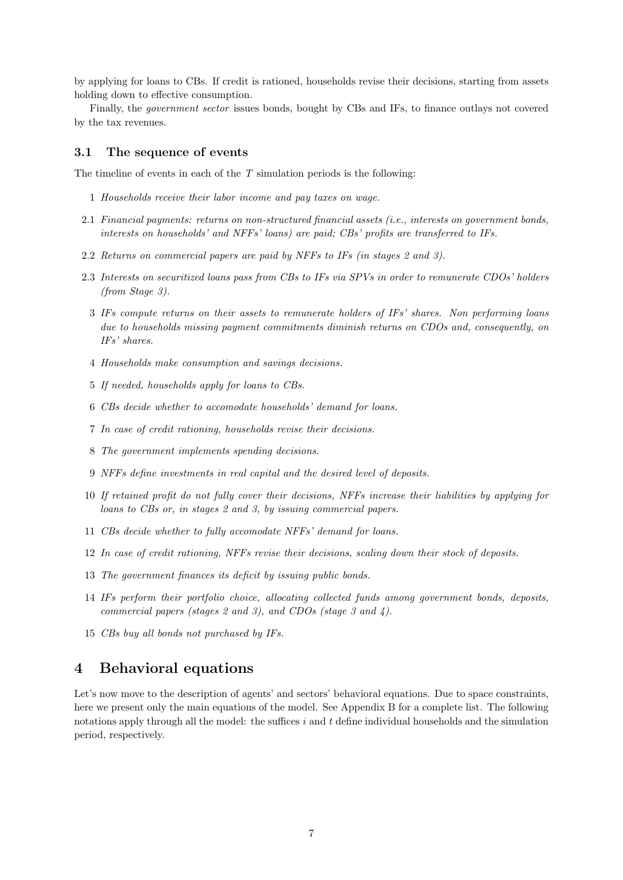by applying for loans to CBs. If credit is rationed, households revise their decisions, starting from assets holding down to effective consumption.

Finally, the government sector issues bonds, bought by CBs and IFs, to finance outlays not covered by the tax revenues.

#### 3.1 The sequence of events

The timeline of events in each of the  $T$  simulation periods is the following:

- 1 Households receive their labor income and pay taxes on wage.
- 2.1 Financial payments: returns on non-structured financial assets (i.e., interests on government bonds, interests on households' and NFFs' loans) are paid; CBs' profits are transferred to IFs.
- 2.2 Returns on commercial papers are paid by NFFs to IFs (in stages 2 and 3).
- 2.3 Interests on securitized loans pass from CBs to IFs via SPVs in order to remunerate CDOs' holders (from Stage 3).
	- 3 IFs compute returns on their assets to remunerate holders of IFs' shares. Non performing loans due to households missing payment commitments diminish returns on CDOs and, consequently, on IFs' shares.
	- 4 Households make consumption and savings decisions.
	- 5 If needed, households apply for loans to CBs.
	- 6 CBs decide whether to accomodate households' demand for loans.
	- 7 In case of credit rationing, households revise their decisions.
	- 8 The government implements spending decisions.
	- 9 NFFs define investments in real capital and the desired level of deposits.
- 10 If retained profit do not fully cover their decisions, NFFs increase their liabilities by applying for loans to CBs or, in stages 2 and 3, by issuing commercial papers.
- 11 CBs decide whether to fully accomodate NFFs' demand for loans.
- 12 In case of credit rationing, NFFs revise their decisions, scaling down their stock of deposits.
- 13 The government finances its deficit by issuing public bonds.
- 14 IFs perform their portfolio choice, allocating collected funds among government bonds, deposits, commercial papers (stages 2 and 3), and CDOs (stage 3 and 4).
- 15 CBs buy all bonds not purchased by IFs.

## 4 Behavioral equations

Let's now move to the description of agents' and sectors' behavioral equations. Due to space constraints, here we present only the main equations of the model. See Appendix B for a complete list. The following notations apply through all the model: the suffices  $i$  and  $t$  define individual households and the simulation period, respectively.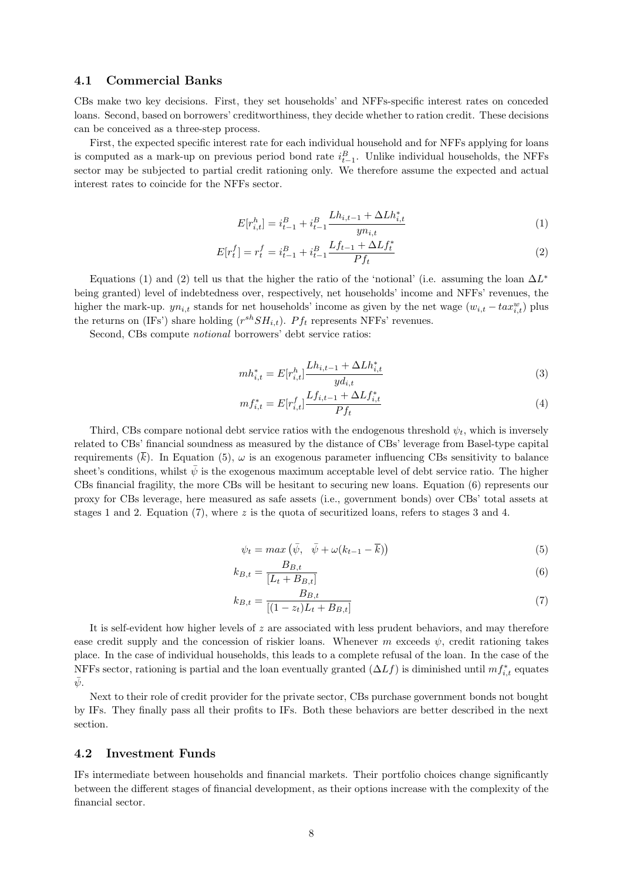#### 4.1 Commercial Banks

CBs make two key decisions. First, they set households' and NFFs-specific interest rates on conceded loans. Second, based on borrowers' creditworthiness, they decide whether to ration credit. These decisions can be conceived as a three-step process.

First, the expected specific interest rate for each individual household and for NFFs applying for loans is computed as a mark-up on previous period bond rate  $i_{t-1}^B$ . Unlike individual households, the NFFs sector may be subjected to partial credit rationing only. We therefore assume the expected and actual interest rates to coincide for the NFFs sector.

$$
E[r_{i,t}^h] = i_{t-1}^B + i_{t-1}^B \frac{Lh_{i,t-1} + \Delta Lh_{i,t}^*}{yn_{i,t}}
$$
\n
$$
(1)
$$

$$
E[r_t^f] = r_t^f = i_{t-1}^B + i_{t-1}^B \frac{Lf_{t-1} + \Delta L f_t^*}{P f_t}
$$
\n<sup>(2)</sup>

Equations (1) and (2) tell us that the higher the ratio of the 'notional' (i.e. assuming the loan  $\Delta L^*$ being granted) level of indebtedness over, respectively, net households' income and NFFs' revenues, the higher the mark-up.  $yn_{i,t}$  stands for net households' income as given by the net wage  $(w_{i,t} - tax_{i,t}^w)$  plus the returns on (IFs') share holding  $(r^{sh}SH_{i,t})$ .  $Pf_t$  represents NFFs' revenues.

Second, CBs compute notional borrowers' debt service ratios:

$$
mh_{i,t}^* = E[r_{i,t}^h] \frac{Lh_{i,t-1} + \Delta Lh_{i,t}^*}{y d_{i,t}}
$$
\n
$$
(3)
$$

$$
mf_{i,t}^{*} = E[r_{i,t}^{f}] \frac{Lf_{i,t-1} + \Delta L f_{i,t}^{*}}{P f_{t}}
$$
\n
$$
(4)
$$

Third, CBs compare notional debt service ratios with the endogenous threshold  $\psi_t$ , which is inversely related to CBs' financial soundness as measured by the distance of CBs' leverage from Basel-type capital requirements  $(\overline{k})$ . In Equation (5),  $\omega$  is an exogenous parameter influencing CBs sensitivity to balance sheet's conditions, whilst  $\bar{\psi}$  is the exogenous maximum acceptable level of debt service ratio. The higher CBs financial fragility, the more CBs will be hesitant to securing new loans. Equation (6) represents our proxy for CBs leverage, here measured as safe assets (i.e., government bonds) over CBs' total assets at stages 1 and 2. Equation (7), where z is the quota of securitized loans, refers to stages 3 and 4.

$$
\psi_t = \max\left(\bar{\psi}, \quad \bar{\psi} + \omega(k_{t-1} - \overline{k})\right) \tag{5}
$$

$$
k_{B,t} = \frac{B_{B,t}}{[L_t + B_{B,t}]}
$$
 (6)

$$
k_{B,t} = \frac{B_{B,t}}{[(1 - z_t)L_t + B_{B,t}]}
$$
\n(7)

It is self-evident how higher levels of z are associated with less prudent behaviors, and may therefore ease credit supply and the concession of riskier loans. Whenever m exceeds  $\psi$ , credit rationing takes place. In the case of individual households, this leads to a complete refusal of the loan. In the case of the NFFs sector, rationing is partial and the loan eventually granted  $(\Delta L f)$  is diminished until  $mf_{i,t}^*$  equates  $\psi$ .

Next to their role of credit provider for the private sector, CBs purchase government bonds not bought by IFs. They finally pass all their profits to IFs. Both these behaviors are better described in the next section.

#### 4.2 Investment Funds

IFs intermediate between households and financial markets. Their portfolio choices change significantly between the different stages of financial development, as their options increase with the complexity of the financial sector.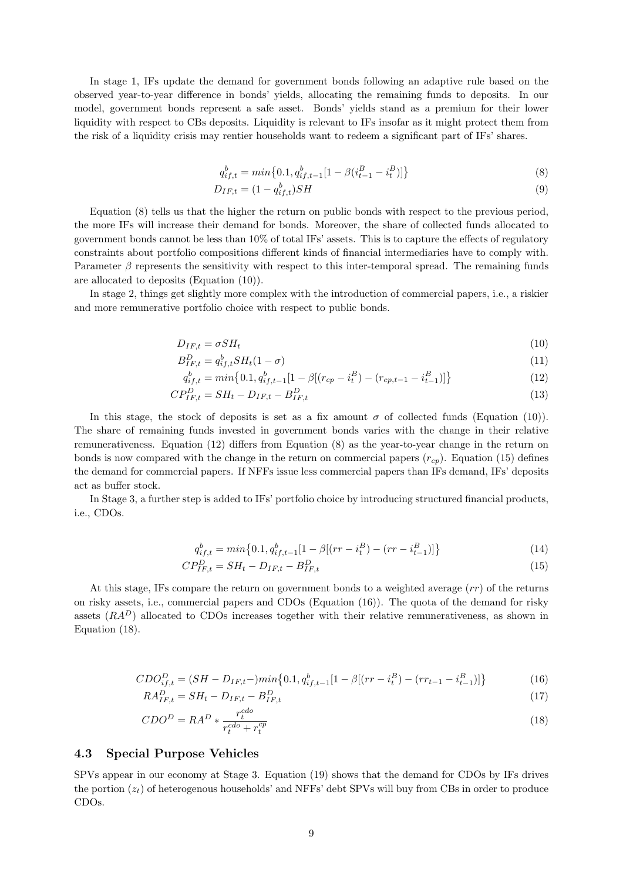In stage 1, IFs update the demand for government bonds following an adaptive rule based on the observed year-to-year difference in bonds' yields, allocating the remaining funds to deposits. In our model, government bonds represent a safe asset. Bonds' yields stand as a premium for their lower liquidity with respect to CBs deposits. Liquidity is relevant to IFs insofar as it might protect them from the risk of a liquidity crisis may rentier households want to redeem a significant part of IFs' shares.

$$
q_{if,t}^b = \min\left\{0.1, q_{if,t-1}^b[1 - \beta(i_{t-1}^B - i_t^B)]\right\}
$$
\n(8)

$$
D_{IF,t} = (1 - q_{if,t}^b)SH
$$
\n
$$
(9)
$$

Equation (8) tells us that the higher the return on public bonds with respect to the previous period, the more IFs will increase their demand for bonds. Moreover, the share of collected funds allocated to government bonds cannot be less than 10% of total IFs' assets. This is to capture the effects of regulatory constraints about portfolio compositions different kinds of financial intermediaries have to comply with. Parameter  $\beta$  represents the sensitivity with respect to this inter-temporal spread. The remaining funds are allocated to deposits (Equation (10)).

In stage 2, things get slightly more complex with the introduction of commercial papers, i.e., a riskier and more remunerative portfolio choice with respect to public bonds.

$$
D_{IF,t} = \sigma S H_t \tag{10}
$$

$$
B_{IF,t}^D = q_{if,t}^b S H_t (1 - \sigma) \tag{11}
$$

$$
q_{if,t}^b = \min\left\{0.1, q_{if,t-1}^b[1-\beta[(r_{cp} - i_t^B) - (r_{cp,t-1} - i_{t-1}^B)]\right\}
$$
(12)

$$
CP_{IF,t}^D = SH_t - D_{IF,t} - B_{IF,t}^D \tag{13}
$$

In this stage, the stock of deposits is set as a fix amount  $\sigma$  of collected funds (Equation (10)). The share of remaining funds invested in government bonds varies with the change in their relative remunerativeness. Equation (12) differs from Equation (8) as the year-to-year change in the return on bonds is now compared with the change in the return on commercial papers  $(r_{cp})$ . Equation (15) defines the demand for commercial papers. If NFFs issue less commercial papers than IFs demand, IFs' deposits act as buffer stock.

In Stage 3, a further step is added to IFs' portfolio choice by introducing structured financial products, i.e., CDOs.

$$
q_{if,t}^b = \min\left\{0.1, q_{if,t-1}^b[1-\beta[(rr-i_t^B)-(rr-i_{t-1}^B)]\right\}
$$
\n(14)

$$
CP_{IF,t}^D = SH_t - D_{IF,t} - B_{IF,t}^D \tag{15}
$$

At this stage, IFs compare the return on government bonds to a weighted average  $(rr)$  of the returns on risky assets, i.e., commercial papers and CDOs (Equation (16)). The quota of the demand for risky assets  $(RA^D)$  allocated to CDOs increases together with their relative remunerativeness, as shown in Equation (18).

$$
CDO_{if,t}^{D} = (SH - D_{IF,t} - )min\{0.1, q_{if,t-1}^{b}[1 - \beta[(rr - i_t^B) - (rr_{t-1} - i_{t-1}^B)]\}
$$
(16)

$$
RA_{IF,t}^D = SH_t - D_{IF,t} - B_{IF,t}^D \tag{17}
$$

$$
CDO^{D} = RA^{D} * \frac{r_t^{cdo}}{r_t^{cdo} + r_t^{cp}}
$$
\n
$$
\tag{18}
$$

#### 4.3 Special Purpose Vehicles

SPVs appear in our economy at Stage 3. Equation [\(19\)](#page-12-0) shows that the demand for CDOs by IFs drives the portion  $(z_t)$  of heterogenous households' and NFFs' debt SPVs will buy from CBs in order to produce CDOs.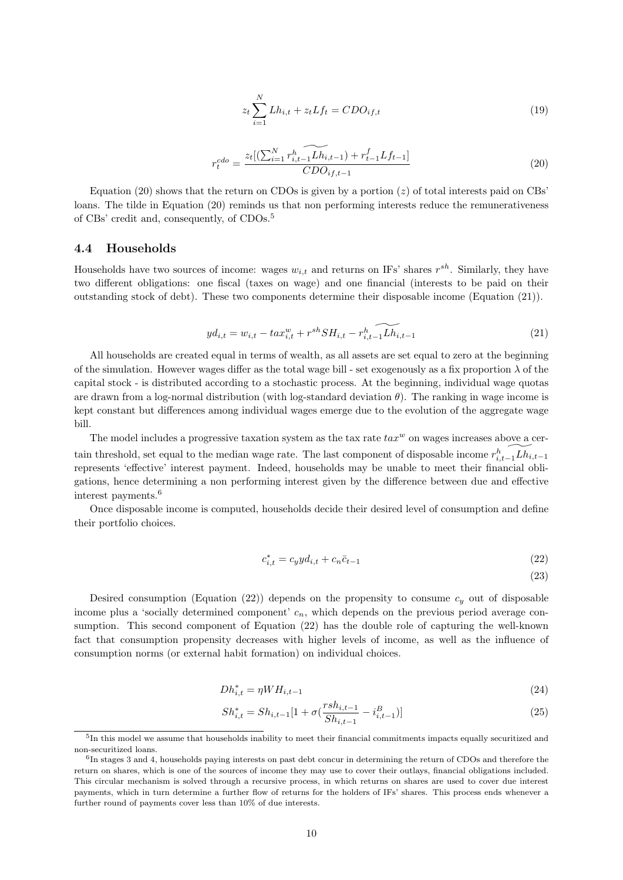$$
z_t \sum_{i=1}^{N} Lh_{i,t} + z_t Lf_t = CDO_{if,t}
$$
\n
$$
(19)
$$

$$
r_t^{cdo} = \frac{z_t[(\sum_{i=1}^N r_{i,t-1}^h \widetilde{Lh_{i,t-1}}) + r_{t-1}^f Lf_{t-1}]}{CDO_{if,t-1}}
$$
(20)

<span id="page-12-0"></span>Equation (20) shows that the return on CDOs is given by a portion (z) of total interests paid on CBs' loans. The tilde in Equation (20) reminds us that non performing interests reduce the remunerativeness of CBs' credit and, consequently, of CDOs.<sup>5</sup>

#### 4.4 Households

Households have two sources of income: wages  $w_{i,t}$  and returns on IFs' shares  $r^{sh}$ . Similarly, they have two different obligations: one fiscal (taxes on wage) and one financial (interests to be paid on their outstanding stock of debt). These two components determine their disposable income (Equation (21)).

$$
y d_{i,t} = w_{i,t} - t a x_{i,t}^w + r^{sh} S H_{i,t} - r_{i,t-1}^h \widetilde{L h_{i,t-1}}
$$
\n(21)

All households are created equal in terms of wealth, as all assets are set equal to zero at the beginning of the simulation. However wages differ as the total wage bill - set exogenously as a fix proportion  $\lambda$  of the capital stock - is distributed according to a stochastic process. At the beginning, individual wage quotas are drawn from a log-normal distribution (with log-standard deviation  $\theta$ ). The ranking in wage income is kept constant but differences among individual wages emerge due to the evolution of the aggregate wage bill.

The model includes a progressive taxation system as the tax rate  $tax^w$  on wages increases above a certain threshold, set equal to the median wage rate. The last component of disposable income  $r_{i,t-1}^h\widetilde{Lh_{i,t-1}}$ represents 'effective' interest payment. Indeed, households may be unable to meet their financial obligations, hence determining a non performing interest given by the difference between due and effective interest payments.<sup>6</sup>

Once disposable income is computed, households decide their desired level of consumption and define their portfolio choices.

$$
c_{i,t}^* = c_y y d_{i,t} + c_n \bar{c}_{t-1}
$$
\n(22)

(23)

Desired consumption (Equation (22)) depends on the propensity to consume  $c_y$  out of disposable income plus a 'socially determined component'  $c_n$ , which depends on the previous period average consumption. This second component of Equation (22) has the double role of capturing the well-known fact that consumption propensity decreases with higher levels of income, as well as the influence of consumption norms (or external habit formation) on individual choices.

$$
Dh_{i,t}^* = \eta W H_{i,t-1} \tag{24}
$$

$$
Sh_{i,t}^* = Sh_{i,t-1}[1 + \sigma(\frac{rsh_{i,t-1}}{Sh_{i,t-1}} - i_{i,t-1}^B)]
$$
\n(25)

<sup>&</sup>lt;sup>5</sup>In this model we assume that households inability to meet their financial commitments impacts equally securitized and non-securitized loans.

<sup>&</sup>lt;sup>6</sup>In stages 3 and 4, households paying interests on past debt concur in determining the return of CDOs and therefore the return on shares, which is one of the sources of income they may use to cover their outlays, financial obligations included. This circular mechanism is solved through a recursive process, in which returns on shares are used to cover due interest payments, which in turn determine a further flow of returns for the holders of IFs' shares. This process ends whenever a further round of payments cover less than 10% of due interests.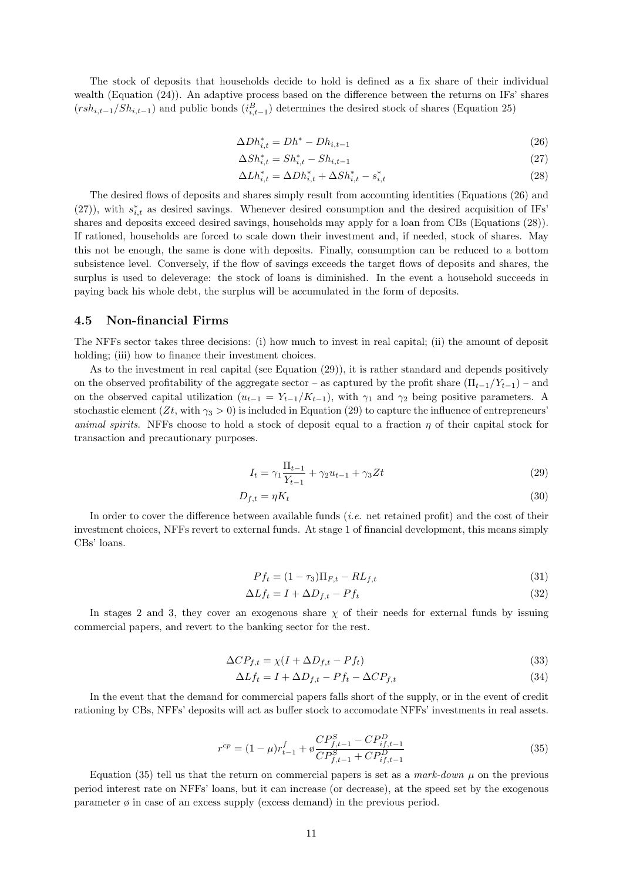The stock of deposits that households decide to hold is defined as a fix share of their individual wealth (Equation [\(24\)](#page-12-0)). An adaptive process based on the difference between the returns on IFs' shares  $(rsh_{i,t-1}/Sh_{i,t-1})$  and public bonds  $(i_{i,t-1}^B)$  determines the desired stock of shares (Equation [25\)](#page-12-0)

$$
\Delta Dh_{i,t}^* = Dh^* - Dh_{i,t-1}
$$
\n
$$
(26)
$$

$$
\Delta Sh_{i,t}^* = Sh_{i,t}^* - Sh_{i,t-1}
$$
\n(27)

$$
\Delta L h_{i,t}^* = \Delta D h_{i,t}^* + \Delta S h_{i,t}^* - s_{i,t}^* \tag{28}
$$

The desired flows of deposits and shares simply result from accounting identities (Equations (26) and (27)), with  $s_{i,t}^*$  as desired savings. Whenever desired consumption and the desired acquisition of IFs' shares and deposits exceed desired savings, households may apply for a loan from CBs (Equations (28)). If rationed, households are forced to scale down their investment and, if needed, stock of shares. May this not be enough, the same is done with deposits. Finally, consumption can be reduced to a bottom subsistence level. Conversely, if the flow of savings exceeds the target flows of deposits and shares, the surplus is used to deleverage: the stock of loans is diminished. In the event a household succeeds in paying back his whole debt, the surplus will be accumulated in the form of deposits.

#### 4.5 Non-financial Firms

The NFFs sector takes three decisions: (i) how much to invest in real capital; (ii) the amount of deposit holding; (iii) how to finance their investment choices.

As to the investment in real capital (see Equation (29)), it is rather standard and depends positively on the observed profitability of the aggregate sector – as captured by the profit share  $(\Pi_{t-1}/Y_{t-1})$  – and on the observed capital utilization  $(u_{t-1} = Y_{t-1}/K_{t-1})$ , with  $\gamma_1$  and  $\gamma_2$  being positive parameters. A stochastic element (Zt, with  $\gamma_3 > 0$ ) is included in Equation (29) to capture the influence of entrepreneurs' animal spirits. NFFs choose to hold a stock of deposit equal to a fraction  $\eta$  of their capital stock for transaction and precautionary purposes.

$$
I_t = \gamma_1 \frac{\Pi_{t-1}}{Y_{t-1}} + \gamma_2 u_{t-1} + \gamma_3 Z t \tag{29}
$$

$$
D_{f,t} = \eta K_t \tag{30}
$$

In order to cover the difference between available funds (i.e. net retained profit) and the cost of their investment choices, NFFs revert to external funds. At stage 1 of financial development, this means simply CBs' loans.

$$
Pf_t = (1 - \tau_3)\Pi_{F,t} - RL_{f,t}
$$
\n(31)

$$
\Delta L f_t = I + \Delta D_{f,t} - P f_t \tag{32}
$$

In stages 2 and 3, they cover an exogenous share  $\chi$  of their needs for external funds by issuing commercial papers, and revert to the banking sector for the rest.

$$
\Delta CP_{f,t} = \chi(I + \Delta D_{f,t} - Pf_t) \tag{33}
$$

$$
\Delta L f_t = I + \Delta D_{f,t} - P f_t - \Delta C P_{f,t} \tag{34}
$$

In the event that the demand for commercial papers falls short of the supply, or in the event of credit rationing by CBs, NFFs' deposits will act as buffer stock to accomodate NFFs' investments in real assets.

$$
r^{cp} = (1 - \mu)r_{t-1}^f + \phi \frac{CP_{f,t-1}^S - CP_{if,t-1}^D}{CP_{f,t-1}^S + CP_{if,t-1}^D}
$$
\n(35)

Equation (35) tell us that the return on commercial papers is set as a mark-down  $\mu$  on the previous period interest rate on NFFs' loans, but it can increase (or decrease), at the speed set by the exogenous parameter  $\varphi$  in case of an excess supply (excess demand) in the previous period.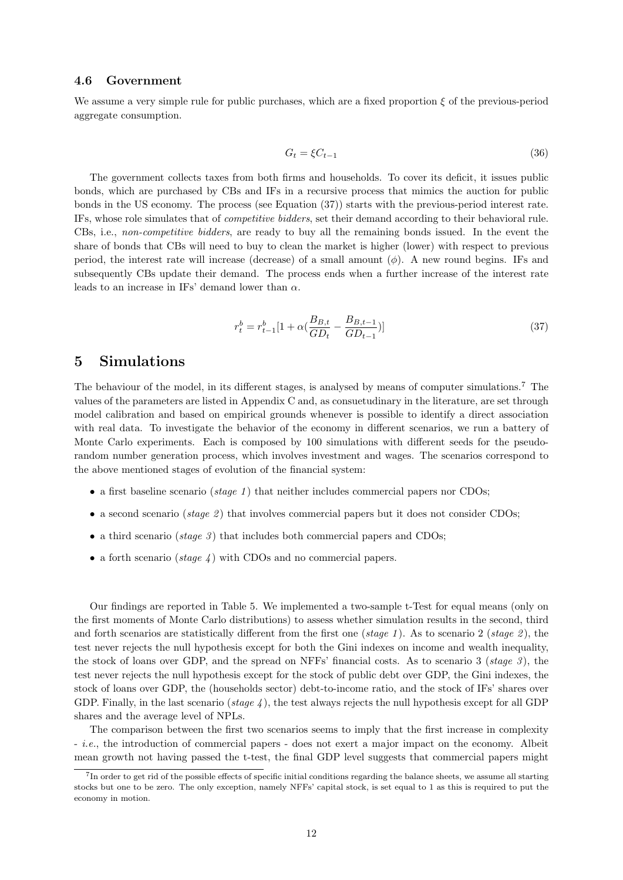#### 4.6 Government

We assume a very simple rule for public purchases, which are a fixed proportion  $\xi$  of the previous-period aggregate consumption.

$$
G_t = \xi C_{t-1} \tag{36}
$$

The government collects taxes from both firms and households. To cover its deficit, it issues public bonds, which are purchased by CBs and IFs in a recursive process that mimics the auction for public bonds in the US economy. The process (see Equation (37)) starts with the previous-period interest rate. IFs, whose role simulates that of competitive bidders, set their demand according to their behavioral rule. CBs, i.e., non-competitive bidders, are ready to buy all the remaining bonds issued. In the event the share of bonds that CBs will need to buy to clean the market is higher (lower) with respect to previous period, the interest rate will increase (decrease) of a small amount  $(\phi)$ . A new round begins. IFs and subsequently CBs update their demand. The process ends when a further increase of the interest rate leads to an increase in IFs' demand lower than  $\alpha$ .

$$
r_t^b = r_{t-1}^b [1 + \alpha(\frac{B_{B,t}}{GD_t} - \frac{B_{B,t-1}}{GD_{t-1}})]
$$
\n(37)

## 5 Simulations

The behaviour of the model, in its different stages, is analysed by means of computer simulations.<sup>7</sup> The values of the parameters are listed in Appendix C and, as consuetudinary in the literature, are set through model calibration and based on empirical grounds whenever is possible to identify a direct association with real data. To investigate the behavior of the economy in different scenarios, we run a battery of Monte Carlo experiments. Each is composed by 100 simulations with different seeds for the pseudorandom number generation process, which involves investment and wages. The scenarios correspond to the above mentioned stages of evolution of the financial system:

- a first baseline scenario (*stage 1*) that neither includes commercial papers nor CDOs;
- a second scenario (stage 2) that involves commercial papers but it does not consider CDOs;
- a third scenario (stage 3) that includes both commercial papers and CDOs;
- a forth scenario (stage  $\chi$ ) with CDOs and no commercial papers.

Our findings are reported in Table 5. We implemented a two-sample t-Test for equal means (only on the first moments of Monte Carlo distributions) to assess whether simulation results in the second, third and forth scenarios are statistically different from the first one (stage 1). As to scenario 2 (stage 2), the test never rejects the null hypothesis except for both the Gini indexes on income and wealth inequality, the stock of loans over GDP, and the spread on NFFs' financial costs. As to scenario 3 (stage 3), the test never rejects the null hypothesis except for the stock of public debt over GDP, the Gini indexes, the stock of loans over GDP, the (households sector) debt-to-income ratio, and the stock of IFs' shares over GDP. Finally, in the last scenario (stage 4), the test always rejects the null hypothesis except for all GDP shares and the average level of NPLs.

The comparison between the first two scenarios seems to imply that the first increase in complexity - i.e., the introduction of commercial papers - does not exert a major impact on the economy. Albeit mean growth not having passed the t-test, the final GDP level suggests that commercial papers might

<sup>&</sup>lt;sup>7</sup>In order to get rid of the possible effects of specific initial conditions regarding the balance sheets, we assume all starting stocks but one to be zero. The only exception, namely NFFs' capital stock, is set equal to 1 as this is required to put the economy in motion.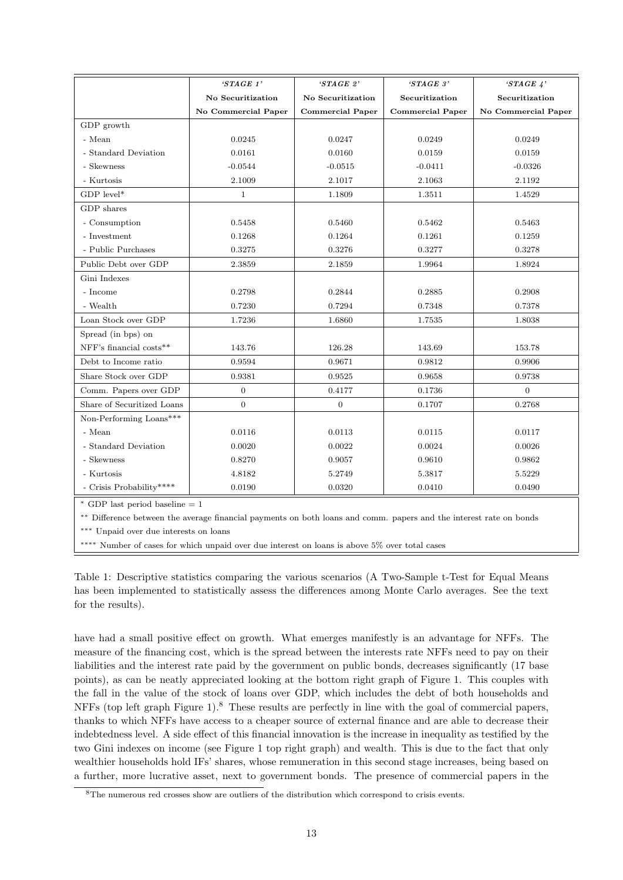|                            | $'STAGE$ 1'         | $'STAGE$ 2'             | $'STAGE$ 3'             | $'STAGE \n4'$       |
|----------------------------|---------------------|-------------------------|-------------------------|---------------------|
|                            | No Securitization   | No Securitization       | Securitization          | Securitization      |
|                            | No Commercial Paper | <b>Commercial Paper</b> | <b>Commercial Paper</b> | No Commercial Paper |
| GDP growth                 |                     |                         |                         |                     |
| - Mean                     | 0.0245              | 0.0247                  | 0.0249                  | 0.0249              |
| - Standard Deviation       | 0.0161              | 0.0160                  | 0.0159                  | 0.0159              |
| - Skewness                 | $-0.0544$           | $-0.0515$               | $-0.0411$               | $-0.0326$           |
| - Kurtosis                 | 2.1009              | 2.1017                  | 2.1063                  | 2.1192              |
| GDP level*                 | $\mathbf{1}$        | 1.1809                  | 1.3511                  | 1.4529              |
| GDP shares                 |                     |                         |                         |                     |
| - Consumption              | 0.5458              | 0.5460                  | 0.5462                  | 0.5463              |
| - Investment               | 0.1268              | 0.1264                  | 0.1261                  | 0.1259              |
| - Public Purchases         | 0.3275              | 0.3276                  | 0.3277                  | 0.3278              |
| Public Debt over GDP       | 2.3859              | 2.1859                  | 1.9964                  | 1.8924              |
| Gini Indexes               |                     |                         |                         |                     |
| - Income                   | 0.2798              | 0.2844                  | 0.2885                  | 0.2908              |
| - Wealth                   | 0.7230              | 0.7294                  | 0.7348                  | 0.7378              |
| Loan Stock over GDP        | 1.7236              | 1.6860                  | 1.7535                  | 1.8038              |
| Spread (in bps) on         |                     |                         |                         |                     |
| NFF's financial costs**    | 143.76              | 126.28                  | 143.69                  | 153.78              |
| Debt to Income ratio       | 0.9594              | 0.9671                  | 0.9812                  | 0.9906              |
| Share Stock over GDP       | 0.9381              | 0.9525                  | 0.9658                  | 0.9738              |
| Comm. Papers over GDP      | $\boldsymbol{0}$    | 0.4177                  | 0.1736                  | $\Omega$            |
| Share of Securitized Loans | $\Omega$            | $\Omega$                | 0.1707                  | 0.2768              |
| Non-Performing Loans***    |                     |                         |                         |                     |
| - Mean                     | 0.0116              | 0.0113                  | 0.0115                  | 0.0117              |
| - Standard Deviation       | 0.0020              | 0.0022                  | 0.0024                  | 0.0026              |
| - Skewness                 | 0.8270              | 0.9057                  | 0.9610                  | 0.9862              |
| - Kurtosis                 | 4.8182              | 5.2749                  | 5.3817                  | 5.5229              |
| - Crisis Probability****   | 0.0190              | 0.0320                  | 0.0410                  | 0.0490              |

GDP last period baseline  $= 1$ 

∗∗ Difference between the average financial payments on both loans and comm. papers and the interest rate on bonds

∗∗∗ Unpaid over due interests on loans

∗∗∗∗ Number of cases for which unpaid over due interest on loans is above 5% over total cases

Table 1: Descriptive statistics comparing the various scenarios (A Two-Sample t-Test for Equal Means has been implemented to statistically assess the differences among Monte Carlo averages. See the text for the results).

have had a small positive effect on growth. What emerges manifestly is an advantage for NFFs. The measure of the financing cost, which is the spread between the interests rate NFFs need to pay on their liabilities and the interest rate paid by the government on public bonds, decreases significantly (17 base points), as can be neatly appreciated looking at the bottom right graph of Figure [1.](#page-16-0) This couples with the fall in the value of the stock of loans over GDP, which includes the debt of both households and NFFs (top left graph Figure [1\)](#page-16-0).<sup>8</sup> These results are perfectly in line with the goal of commercial papers, thanks to which NFFs have access to a cheaper source of external finance and are able to decrease their indebtedness level. A side effect of this financial innovation is the increase in inequality as testified by the two Gini indexes on income (see Figure [1](#page-16-0) top right graph) and wealth. This is due to the fact that only wealthier households hold IFs' shares, whose remuneration in this second stage increases, being based on a further, more lucrative asset, next to government bonds. The presence of commercial papers in the

<sup>&</sup>lt;sup>8</sup>The numerous red crosses show are outliers of the distribution which correspond to crisis events.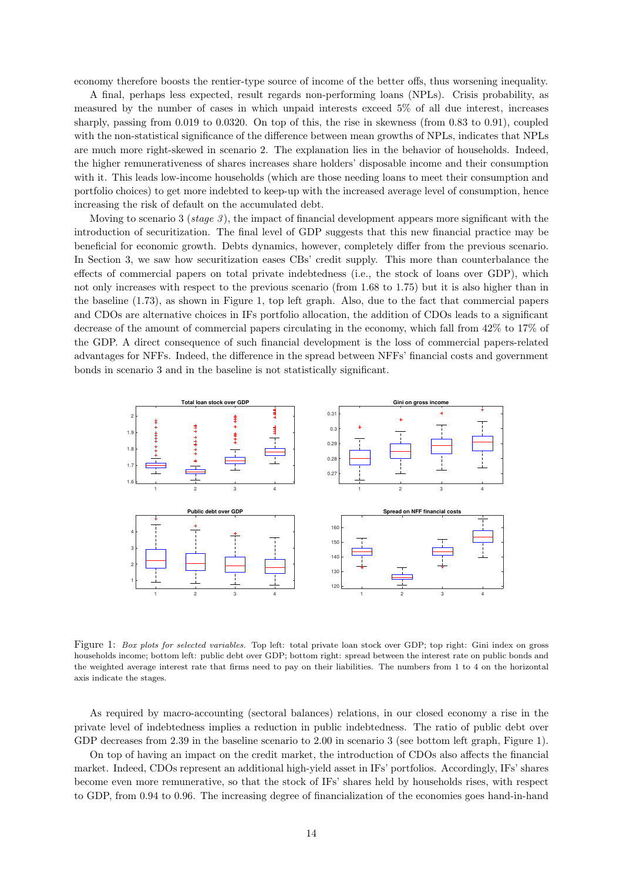<span id="page-16-0"></span>economy therefore boosts the rentier-type source of income of the better offs, thus worsening inequality.

A final, perhaps less expected, result regards non-performing loans (NPLs). Crisis probability, as measured by the number of cases in which unpaid interests exceed 5% of all due interest, increases sharply, passing from 0.019 to 0.0320. On top of this, the rise in skewness (from 0.83 to 0.91), coupled with the non-statistical significance of the difference between mean growths of NPLs, indicates that NPLs are much more right-skewed in scenario 2. The explanation lies in the behavior of households. Indeed, the higher remunerativeness of shares increases share holders' disposable income and their consumption with it. This leads low-income households (which are those needing loans to meet their consumption and portfolio choices) to get more indebted to keep-up with the increased average level of consumption, hence increasing the risk of default on the accumulated debt.

Moving to scenario 3 (stage  $\beta$ ), the impact of financial development appears more significant with the introduction of securitization. The final level of GDP suggests that this new financial practice may be beneficial for economic growth. Debts dynamics, however, completely differ from the previous scenario. In Section [3,](#page-7-0) we saw how securitization eases CBs' credit supply. This more than counterbalance the effects of commercial papers on total private indebtedness (i.e., the stock of loans over GDP), which not only increases with respect to the previous scenario (from 1.68 to 1.75) but it is also higher than in the baseline (1.73), as shown in Figure 1, top left graph. Also, due to the fact that commercial papers and CDOs are alternative choices in IFs portfolio allocation, the addition of CDOs leads to a significant decrease of the amount of commercial papers circulating in the economy, which fall from 42% to 17% of the GDP. A direct consequence of such financial development is the loss of commercial papers-related advantages for NFFs. Indeed, the difference in the spread between NFFs' financial costs and government bonds in scenario 3 and in the baseline is not statistically significant.



Figure 1: Box plots for selected variables. Top left: total private loan stock over GDP; top right: Gini index on gross households income; bottom left: public debt over GDP; bottom right: spread between the interest rate on public bonds and the weighted average interest rate that firms need to pay on their liabilities. The numbers from 1 to 4 on the horizontal axis indicate the stages.

As required by macro-accounting (sectoral balances) relations, in our closed economy a rise in the private level of indebtedness implies a reduction in public indebtedness. The ratio of public debt over GDP decreases from 2.39 in the baseline scenario to 2.00 in scenario 3 (see bottom left graph, Figure 1).

On top of having an impact on the credit market, the introduction of CDOs also affects the financial market. Indeed, CDOs represent an additional high-yield asset in IFs' portfolios. Accordingly, IFs' shares become even more remunerative, so that the stock of IFs' shares held by households rises, with respect to GDP, from 0.94 to 0.96. The increasing degree of financialization of the economies goes hand-in-hand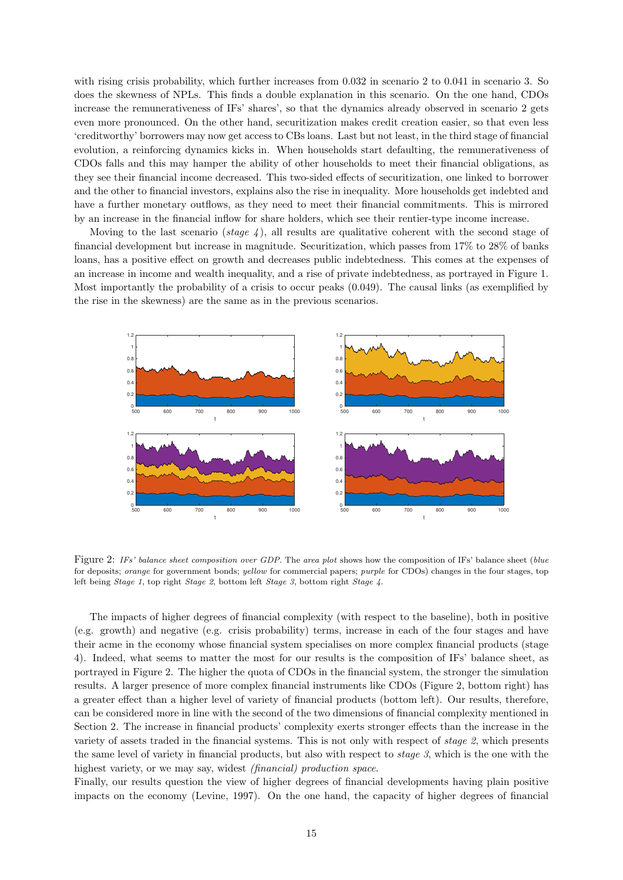with rising crisis probability, which further increases from 0.032 in scenario 2 to 0.041 in scenario 3. So does the skewness of NPLs. This finds a double explanation in this scenario. On the one hand, CDOs increase the remunerativeness of IFs' shares', so that the dynamics already observed in scenario 2 gets even more pronounced. On the other hand, securitization makes credit creation easier, so that even less 'creditworthy' borrowers may now get access to CBs loans. Last but not least, in the third stage of financial evolution, a reinforcing dynamics kicks in. When households start defaulting, the remunerativeness of CDOs falls and this may hamper the ability of other households to meet their financial obligations, as they see their financial income decreased. This two-sided effects of securitization, one linked to borrower and the other to financial investors, explains also the rise in inequality. More households get indebted and have a further monetary outflows, as they need to meet their financial commitments. This is mirrored by an increase in the financial inflow for share holders, which see their rentier-type income increase.

Moving to the last scenario (stage  $\chi$ ), all results are qualitative coherent with the second stage of financial development but increase in magnitude. Securitization, which passes from 17% to 28% of banks loans, has a positive effect on growth and decreases public indebtedness. This comes at the expenses of an increase in income and wealth inequality, and a rise of private indebtedness, as portrayed in Figure [1.](#page-16-0) Most importantly the probability of a crisis to occur peaks (0.049). The causal links (as exemplified by the rise in the skewness) are the same as in the previous scenarios.



Figure 2: IFs' balance sheet composition over GDP. The area plot shows how the composition of IFs' balance sheet (blue for deposits; orange for government bonds; yellow for commercial papers; purple for CDOs) changes in the four stages, top left being Stage 1, top right Stage 2, bottom left Stage 3, bottom right Stage 4.

The impacts of higher degrees of financial complexity (with respect to the baseline), both in positive (e.g. growth) and negative (e.g. crisis probability) terms, increase in each of the four stages and have their acme in the economy whose financial system specialises on more complex financial products (stage 4). Indeed, what seems to matter the most for our results is the composition of IFs' balance sheet, as portrayed in Figure 2. The higher the quota of CDOs in the financial system, the stronger the simulation results. A larger presence of more complex financial instruments like CDOs (Figure 2, bottom right) has a greater effect than a higher level of variety of financial products (bottom left). Our results, therefore, can be considered more in line with the second of the two dimensions of financial complexity mentioned in Section [2.](#page-5-0) The increase in financial products' complexity exerts stronger effects than the increase in the variety of assets traded in the financial systems. This is not only with respect of stage 2, which presents the same level of variety in financial products, but also with respect to stage 3, which is the one with the highest variety, or we may say, widest *(financial)* production space.

Finally, our results question the view of higher degrees of financial developments having plain positive impacts on the economy [\(Levine, 1997\)](#page-27-0). On the one hand, the capacity of higher degrees of financial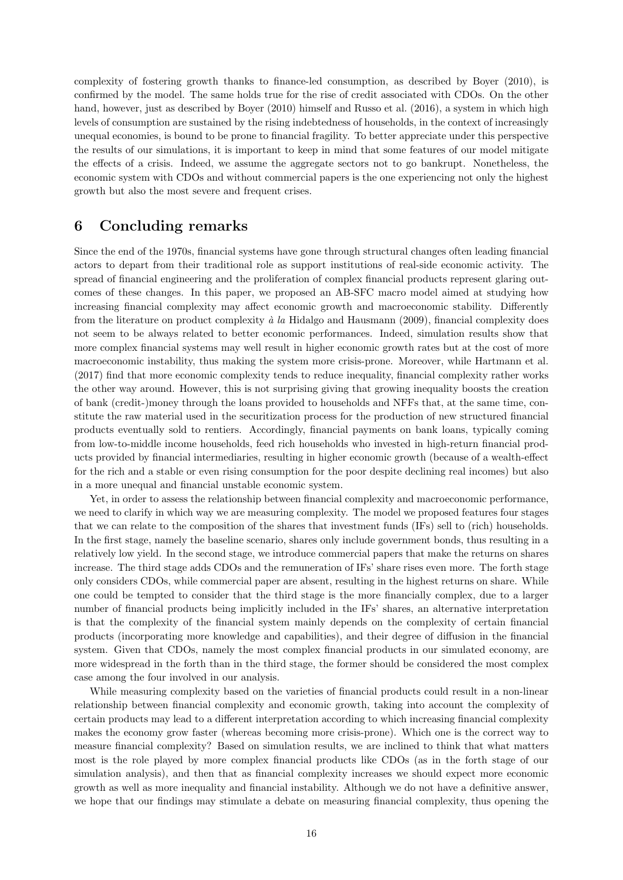complexity of fostering growth thanks to finance-led consumption, as described by [Boyer](#page-26-0) [\(2010\)](#page-26-0), is confirmed by the model. The same holds true for the rise of credit associated with CDOs. On the other hand, however, just as described by [Boyer](#page-26-0) [\(2010\)](#page-26-0) himself and [Russo et al.](#page-27-0) [\(2016\)](#page-27-0), a system in which high levels of consumption are sustained by the rising indebtedness of households, in the context of increasingly unequal economies, is bound to be prone to financial fragility. To better appreciate under this perspective the results of our simulations, it is important to keep in mind that some features of our model mitigate the effects of a crisis. Indeed, we assume the aggregate sectors not to go bankrupt. Nonetheless, the economic system with CDOs and without commercial papers is the one experiencing not only the highest growth but also the most severe and frequent crises.

## 6 Concluding remarks

Since the end of the 1970s, financial systems have gone through structural changes often leading financial actors to depart from their traditional role as support institutions of real-side economic activity. The spread of financial engineering and the proliferation of complex financial products represent glaring outcomes of these changes. In this paper, we proposed an AB-SFC macro model aimed at studying how increasing financial complexity may affect economic growth and macroeconomic stability. Differently from the literature on product complexity  $\dot{a}$  la [Hidalgo and Hausmann](#page-27-0) [\(2009\)](#page-27-0), financial complexity does not seem to be always related to better economic performances. Indeed, simulation results show that more complex financial systems may well result in higher economic growth rates but at the cost of more macroeconomic instability, thus making the system more crisis-prone. Moreover, while [Hartmann et al.](#page-27-0) [\(2017\)](#page-27-0) find that more economic complexity tends to reduce inequality, financial complexity rather works the other way around. However, this is not surprising giving that growing inequality boosts the creation of bank (credit-)money through the loans provided to households and NFFs that, at the same time, constitute the raw material used in the securitization process for the production of new structured financial products eventually sold to rentiers. Accordingly, financial payments on bank loans, typically coming from low-to-middle income households, feed rich households who invested in high-return financial products provided by financial intermediaries, resulting in higher economic growth (because of a wealth-effect for the rich and a stable or even rising consumption for the poor despite declining real incomes) but also in a more unequal and financial unstable economic system.

Yet, in order to assess the relationship between financial complexity and macroeconomic performance, we need to clarify in which way we are measuring complexity. The model we proposed features four stages that we can relate to the composition of the shares that investment funds (IFs) sell to (rich) households. In the first stage, namely the baseline scenario, shares only include government bonds, thus resulting in a relatively low yield. In the second stage, we introduce commercial papers that make the returns on shares increase. The third stage adds CDOs and the remuneration of IFs' share rises even more. The forth stage only considers CDOs, while commercial paper are absent, resulting in the highest returns on share. While one could be tempted to consider that the third stage is the more financially complex, due to a larger number of financial products being implicitly included in the IFs' shares, an alternative interpretation is that the complexity of the financial system mainly depends on the complexity of certain financial products (incorporating more knowledge and capabilities), and their degree of diffusion in the financial system. Given that CDOs, namely the most complex financial products in our simulated economy, are more widespread in the forth than in the third stage, the former should be considered the most complex case among the four involved in our analysis.

While measuring complexity based on the varieties of financial products could result in a non-linear relationship between financial complexity and economic growth, taking into account the complexity of certain products may lead to a different interpretation according to which increasing financial complexity makes the economy grow faster (whereas becoming more crisis-prone). Which one is the correct way to measure financial complexity? Based on simulation results, we are inclined to think that what matters most is the role played by more complex financial products like CDOs (as in the forth stage of our simulation analysis), and then that as financial complexity increases we should expect more economic growth as well as more inequality and financial instability. Although we do not have a definitive answer, we hope that our findings may stimulate a debate on measuring financial complexity, thus opening the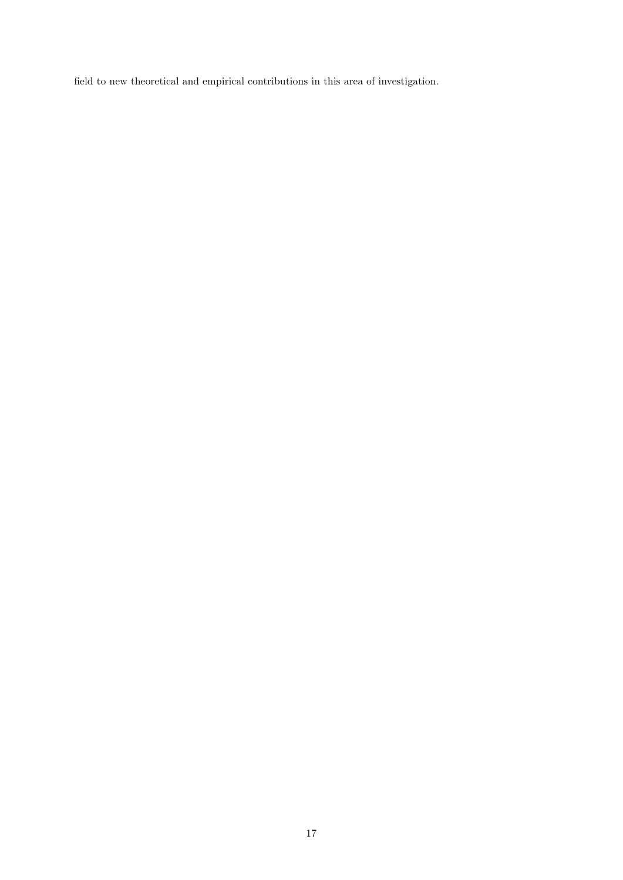field to new theoretical and empirical contributions in this area of investigation.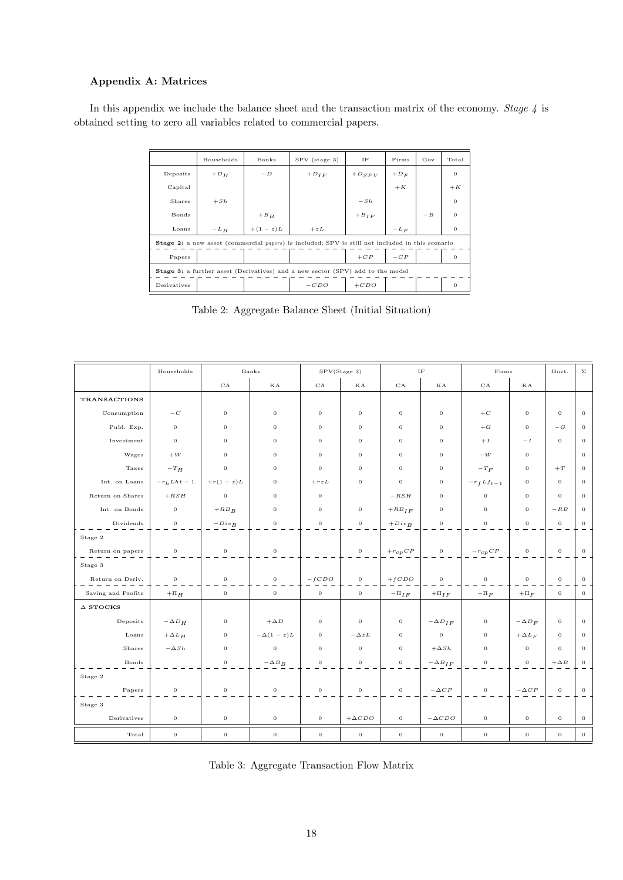### Appendix A: Matrices

In this appendix we include the balance sheet and the transaction matrix of the economy. Stage 4 is obtained setting to zero all variables related to commercial papers.

|                                                                                                  | Households | Banks     | SPV (stage 3) | ΙF         | Firms  | Gov  | Total    |  |  |
|--------------------------------------------------------------------------------------------------|------------|-----------|---------------|------------|--------|------|----------|--|--|
| Deposits                                                                                         | $+D_{H}$   | $-D$      | $+D_{IF}$     | $+D_{SPV}$ | $+D_F$ |      | $\Omega$ |  |  |
| Capital                                                                                          |            |           |               |            | $+K$   |      | $+K$     |  |  |
| Shares                                                                                           | $+ Sh$     |           |               | $-Sh$      |        |      | $\Omega$ |  |  |
| Bonds                                                                                            |            | $+ B_B$   |               | $+ B_{IF}$ |        | $-B$ | $\Omega$ |  |  |
| Loans                                                                                            | $-L_H$     | $+(1-z)L$ | $+ z L$       |            | $-L_F$ |      | $\Omega$ |  |  |
| Stage 2: a new asset (commercial papers) is included; SPV is still not included in this scenario |            |           |               |            |        |      |          |  |  |
| Papers                                                                                           |            |           |               | $+CP$      | $-CP$  |      | $\Omega$ |  |  |
| Stage 3: a further asset (Derivatives) and a new sector (SPV) add to the model                   |            |           |               |            |        |      |          |  |  |
| Derivatives                                                                                      |            |           | $-CDO$        | $+ CDO$    |        |      | $\Omega$ |  |  |

Table 2: Aggregate Balance Sheet (Initial Situation)

|                     | Households       |                  | Banks            |                  | SPV(Stage 3)     |                                              | $\rm IF$         | Firms                 |                | Govt.        | $\Sigma$       |
|---------------------|------------------|------------------|------------------|------------------|------------------|----------------------------------------------|------------------|-----------------------|----------------|--------------|----------------|
|                     |                  | CA               | КA               | CA               | ΚA               | $_{\rm CA}$                                  | КA               | CA                    | КA             |              |                |
| <b>TRANSACTIONS</b> |                  |                  |                  |                  |                  |                                              |                  |                       |                |              |                |
| Consumption         | $-\,{\cal C}$    | $\mathbf 0$      | $\mathbf 0$      | $\theta$         | $\mathbf 0$      | $\mathbf 0$                                  | $\mathbf{0}$     | $+C$                  | $\mathbf 0$    | $\mathbf 0$  | $\mathbf 0$    |
| Publ. Exp.          | $\mathbf{0}$     | $\mathbf 0$      | $\overline{0}$   | $\mathbf{0}$     | $\mathbf{0}$     | $\overline{0}$                               | $\overline{0}$   | $+G$                  | $\overline{0}$ | $-G$         | $\mathbf{0}$   |
| Investment          | $\theta$         | $\mathbf 0$      | $\mathbf 0$      | $\theta$         | $\mathbf{0}$     | $\overline{0}$                               | $\overline{0}$   | $+I$                  | $-I$           | $\mathbf{0}$ | $\theta$       |
| Wages               | $+W$             | $\overline{0}$   | $\mathbf 0$      | $\theta$         | $\overline{0}$   | $\overline{0}$                               | $\overline{0}$   | $-W$                  | $\mathbf{0}$   |              | $\mathbf 0$    |
| Taxes               | $-T_H$           | $\mathbf 0$      | $\mathbf 0$      | $\overline{0}$   | $\mathbf 0$      | $\overline{0}$                               | $\mathbf 0$      | $-T_F$                | $\mathbf 0$    | $+T$         | $\mathbf 0$    |
| Int. on Loans       | $-r_h Lht - 1$   | $+r(1-z)L$       | $\mathbf 0$      | $+rzL$           | $\mathbf 0$      | $\mathbf 0$                                  | $\mathbf{0}$     | $-r_f L f_{t-1}$      | $\bf{0}$       | $\mathbf{0}$ | $\mathbf 0$    |
| Return on Shares    | $+ RSH$          | $\mathbf 0$      | $\mathbf 0$      | $\overline{0}$   |                  | $- RSH$                                      | $\mathbf{0}$     | $\theta$              | $\bf{0}$       | $\mathbf 0$  | $\overline{0}$ |
| Int. on Bonds       | $\overline{0}$   | $+RB_B$          | $\overline{0}$   | $\overline{0}$   | $\overline{0}$   | $+RB_{IF}$                                   | $\overline{0}$   | $\overline{0}$        | $\overline{0}$ | $-RB$        | $\theta$       |
| Dividends           | $\boldsymbol{0}$ | $-Div_B$         | $\mathbf 0$      | $\overline{0}$   | $\overline{0}$   | $+Div_B$                                     | $\mathbf{0}$     | $\mathbf 0$           | $\mathbf 0$    | $\sigma$     | $\mathbf 0$    |
| Stage 2             |                  |                  |                  |                  |                  |                                              |                  |                       |                |              |                |
| Return on papers    | $\,0\,$          | $\boldsymbol{0}$ | $\boldsymbol{0}$ |                  | $\boldsymbol{0}$ | $+ \, r_{\scriptscriptstyle{C}} p \, C \, P$ | $\mathbf{0}$     | $-\,r_{\,c\,p}\,C\,P$ | $\,$ 0 $\,$    | $\,0\,$      | $\,0\,$        |
| Stage 3             |                  |                  |                  |                  |                  |                                              |                  |                       |                |              |                |
| Return on Deriv.    | $\mathbf{0}$     | $\mathbf 0$      | $\,$ 0 $\,$      | $-fCDO$          | $\mathbf 0$      | $+fCDO$                                      | $\mathbf 0$      | $\overline{0}$        | $\mathbf 0$    | $\sigma$     | $\mathbf 0$    |
| Saving and Profits  | $+ \Pi_H$        | $\sigma$         | $\sigma$         | $\mathbf 0$      | $\mathbf{0}$     | $-\Pi_{IF}$                                  | $+\Pi_{IF}$      | $-\Pi_F$              | $+ \Pi_F$      | $\mathbf{0}$ | $\,$ O         |
| $\Delta$ STOCKS     |                  |                  |                  |                  |                  |                                              |                  |                       |                |              |                |
| Deposits            | $-\Delta D_H$    | $\mathbf 0$      | $+\Delta D$      | $\overline{0}$   | $\mathbf 0$      | $\mathbf 0$                                  | $-\Delta D_{IF}$ | $\mathbf 0$           | $-\Delta D_F$  | $\mathbf{0}$ | $\mathbf 0$    |
| Loans               | $+\Delta L_H$    | $\mathbf 0$      | $-\Delta(1-z)L$  | $\mathbf 0$      | $-\Delta zL$     | $\mathbf 0$                                  | $\mathbf{0}$     | $\mathbf 0$           | $+\Delta L_F$  | $\mathbf{0}$ | $\overline{0}$ |
| Shares              | $-\Delta Sh$     | $\mathbf 0$      | $\mathbf 0$      | $\overline{0}$   | $\mathbf 0$      | $\overline{0}$                               | $+\Delta Sh$     | $\bf{0}$              | $\mathbf 0$    | $\mathbf 0$  | $\overline{0}$ |
| Bonds               |                  | $\boldsymbol{0}$ | $-\Delta B_B$    | $\boldsymbol{0}$ | $\,$ O           | $\,$ O                                       | $-\Delta B_{IF}$ | $\,$ O                | $\,$ 0 $\,$    | $+\Delta B$  | $\,$ O         |
| Stage 2             |                  |                  |                  |                  |                  |                                              |                  |                       |                |              |                |
| Papers              | $\,0\,$          | $\boldsymbol{0}$ | $\,$ O           | $\mathbf{0}$     | $\mathbf{0}$     | $\mathbf 0$                                  | $-\Delta\,CP$    | $\mathbf 0$           | $-\Delta\,CP$  | $\mathbf 0$  | $\,$ O         |
| Stage 3             |                  |                  |                  |                  |                  |                                              |                  |                       |                |              |                |
| Derivatives         | $\boldsymbol{0}$ | $\boldsymbol{0}$ | $\,$ O           | $\mathbf{0}$     | $+\Delta CDO$    | $\sigma$                                     | $-\Delta CDO$    | $\sigma$              | $\mathbf 0$    | $\sigma$     | $\,0\,$        |
| Total               | $\,0\,$          | $\,$ O           | $\,$ O           | $\,$ O           | $\,$ 0 $\,$      | $\,$ O                                       | $\,$ 0 $\,$      | $\,$ O                | $\,$ O         | $\,$ O       | $\mathbf{0}$   |
|                     |                  |                  |                  |                  |                  |                                              |                  |                       |                |              |                |

|  |  | Table 3: Aggregate Transaction Flow Matrix |  |  |
|--|--|--------------------------------------------|--|--|
|--|--|--------------------------------------------|--|--|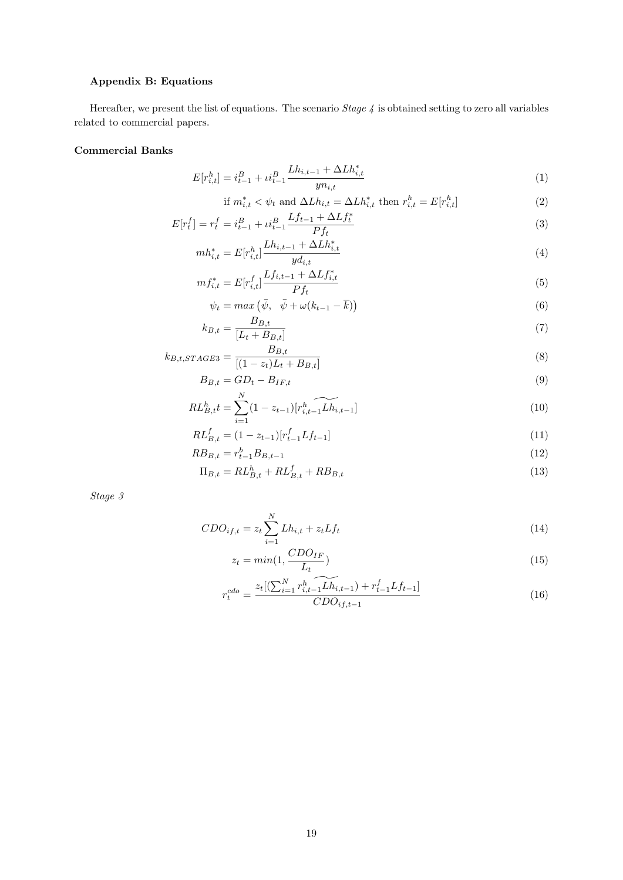## Appendix B: Equations

Hereafter, we present the list of equations. The scenario  $Stage 4$  is obtained setting to zero all variables related to commercial papers.

#### Commercial Banks

$$
E[r_{i,t}^h] = i_{t-1}^B + \mu_{t-1}^B \frac{Lh_{i,t-1} + \Delta L h_{i,t}^*}{y n_{i,t}}
$$
\n
$$
(1)
$$

if 
$$
m_{i,t}^* < \psi_t
$$
 and  $\Delta L h_{i,t} = \Delta L h_{i,t}^*$  then  $r_{i,t}^h = E[r_{i,t}^h]$  (2)

$$
E[r_t^f] = r_t^f = i_{t-1}^B + i_{t-1}^B \frac{Lf_{t-1} + \Delta L f_t^*}{P f_t}
$$
\n<sup>(3)</sup>

$$
mh_{i,t}^* = E[r_{i,t}^h] \frac{Lh_{i,t-1} + \Delta Lh_{i,t}^*}{y d_{i,t}}
$$
\n
$$
(4)
$$

$$
mf_{i,t}^{*} = E[r_{i,t}^{f}] \frac{Lf_{i,t-1} + \Delta L f_{i,t}^{*}}{P f_{t}}
$$
\n
$$
(5)
$$

$$
\psi_t = \max\left(\bar{\psi}, \quad \bar{\psi} + \omega(k_{t-1} - \bar{k})\right) \tag{6}
$$

$$
k_{B,t} = \frac{B_{B,t}}{[L_t + B_{B,t}]}\tag{7}
$$

$$
k_{B,t,STAGE3} = \frac{B_{B,t}}{[(1 - z_t)L_t + B_{B,t}]}
$$
(8)

$$
B_{B,t} = GD_t - B_{IF,t} \tag{9}
$$

$$
RL_{B,t}^{h}t = \sum_{i=1}^{N} (1 - z_{t-1}) [r_{i,t-1}^{h} \widetilde{L_{h,i,t-1}}] \tag{10}
$$

$$
RL_{B,t}^{f} = (1 - z_{t-1}) [r_{t-1}^{f} L f_{t-1}]
$$
\n(11)

$$
RB_{B,t} = r_{t-1}^b B_{B,t-1} \tag{12}
$$

$$
\Pi_{B,t} = RL_{B,t}^h + RL_{B,t}^f + RB_{B,t}
$$
\n(13)

Stage 3

$$
CDO_{if,t} = z_t \sum_{i=1}^{N} Lh_{i,t} + z_t Lf_t
$$
\n
$$
(14)
$$

$$
z_t = min(1, \frac{CDO_{IF}}{L_t})
$$
\n<sup>(15)</sup>

$$
r_t^{cdo} = \frac{z_t[(\sum_{i=1}^N r_{i,t-1}^h \widetilde{L_{i,t-1}}) + r_{t-1}^f L f_{t-1}]}{CDO_{if,t-1}}
$$
(16)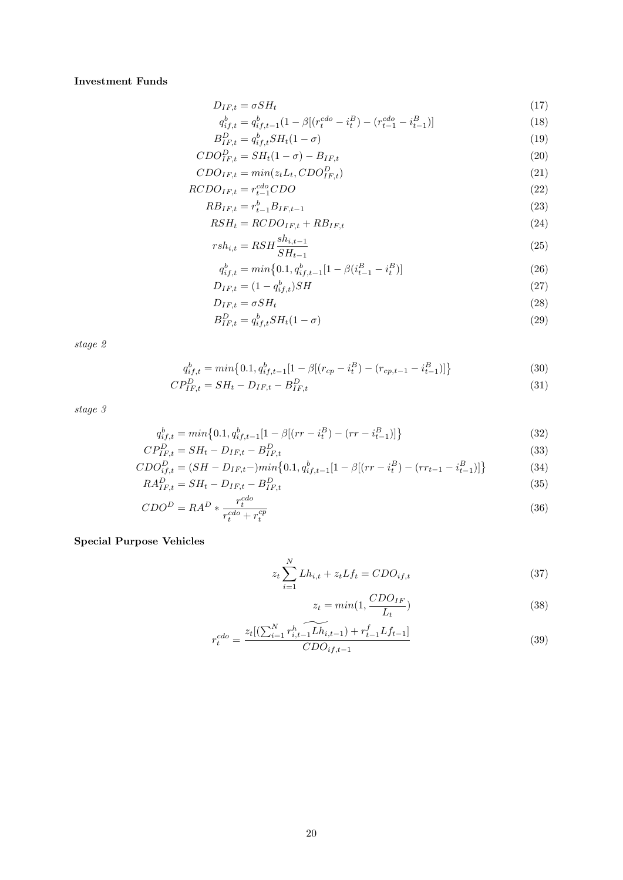### Investment Funds

$$
D_{IF,t} = \sigma S H_t \tag{17}
$$

$$
q_{if,t}^b = q_{if,t-1}^b (1 - \beta [(r_t^{cdo} - i_t^B) - (r_{t-1}^{cdo} - i_{t-1}^B)]
$$
\n(18)

$$
B_{IF,t}^D = q_{if,t}^b SH_t(1-\sigma) \tag{19}
$$

$$
CDO_{IF,t}^{D} = SH_t(1 - \sigma) - B_{IF,t}
$$
\n
$$
(20)
$$

$$
CDO_{IF,t} = min(z_t L_t, CDO_{IF,t}^D)
$$
\n
$$
(21)
$$

$$
RCDO_{IF,t} = r_{t-1}^{cdo} CDO \tag{22}
$$

$$
RB_{IF,t} = r_{t-1}^b B_{IF,t-1} \tag{23}
$$

$$
RSH_t = RCDO_{IF,t} + RB_{IF,t} \tag{24}
$$

$$
rsh_{i,t} = RSH \frac{sh_{i,t-1}}{SH_{t-1}}
$$
\n
$$
\tag{25}
$$

$$
q_{if,t}^b = \min\{0.1, q_{if,t-1}^b[1 - \beta(i_{t-1}^B - i_t^B)]\}\tag{26}
$$

$$
D_{IF,t} = (1 - q_{if,t}^b) SH \t\t(27)
$$

$$
D_{IF,t} = \sigma S H_t \tag{28}
$$

$$
B_{IF,t}^D = q_{if,t}^b S H_t (1 - \sigma) \tag{29}
$$

stage 2

$$
q_{if,t}^b = \min\left\{0.1, q_{if,t-1}^b[1-\beta[(r_{cp} - i_t^B) - (r_{cp,t-1} - i_{t-1}^B)]\right\}
$$
(30)

$$
CP_{IF,t}^D = SH_t - D_{IF,t} - B_{IF,t}^D \tag{31}
$$

stage 3

$$
q_{if,t}^b = \min\{0.1, q_{if,t-1}^b[1 - \beta[(rr - i_t^B) - (rr - i_{t-1}^B)]\}
$$
\n
$$
P_{\text{P}}^D = SH_{\text{P}} - D_{\text{CP}} - B^D
$$
\n(32)

$$
CP_{IF,t}^{D} = SH_{t} - D_{IF,t} - B_{IF,t}^{D}
$$
\n
$$
C_{I}^{D} = (SH - D_{IF,t} - \min_{\alpha} f_{0,1,\alpha}^{b} b_{\alpha} \quad [1 - \beta[(rr - i^{B}) - (rr, \alpha - i^{B})]^{1}]
$$
\n(33)

$$
CDO_{if,t}^{D} = (SH - D_{IF,t} - )min\{0.1, q_{if,t-1}^{b}[1 - \beta[(rr - i_{t}^{B}) - (rr_{t-1} - i_{t-1}^{B})]\}
$$
(34)  

$$
RA_{IF,t}^{D} = SH_{t} - D_{IF,t} - B_{IF,t}^{D}
$$
(35)

$$
CDO^{D} = RA^{D} * \frac{r_t^{cdo}}{r_t^{cdo} + r_t^{cp}}
$$
\n
$$
(36)
$$

## Special Purpose Vehicles

$$
z_t \sum_{i=1}^{N} Lh_{i,t} + z_t Lf_t = CDO_{if,t}
$$
\n(37)

$$
z_t = min(1, \frac{CDO_{IF}}{L_t})
$$
\n(38)

$$
r_t^{cdo} = \frac{z_t[(\sum_{i=1}^N r_{i,t-1}^h \widetilde{L_{i,t-1}}) + r_{t-1}^f L f_{t-1}]}{CDO_{if,t-1}}
$$
(39)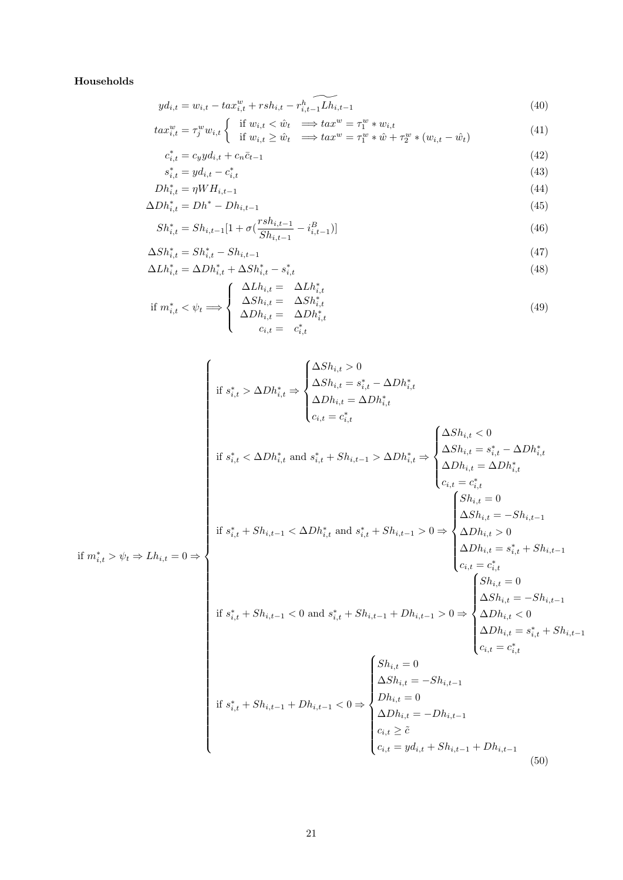## Households

$$
y d_{i,t} = w_{i,t} - t a x_{i,t}^w + r s h_{i,t} - r_{i,t-1}^h \widetilde{L h_{i,t-1}}
$$
\n
$$
\tag{40}
$$

$$
tax_{i,t}^{w} = \tau_j^{w}w_{i,t} \begin{cases} & \text{if } w_{i,t} < \hat{w}_t \implies tax^{w} = \tau_1^{w} * w_{i,t} \\ & \text{if } w_{i,t} \ge \hat{w}_t \implies tax^{w} = \tau_1^{w} * \hat{w} + \tau_2^{w} * (w_{i,t} - \hat{w}_t) \end{cases} \tag{41}
$$

$$
c_{i,t}^* = c_y y d_{i,t} + c_n \bar{c}_{t-1}
$$
\n(42)

$$
s_{i,t}^* = y d_{i,t} - c_{i,t}^* \tag{43}
$$

$$
Dh_{i,t}^* = \eta W H_{i,t-1} \tag{44}
$$

$$
\Delta Dh_{i,t}^* = Dh^* - Dh_{i,t-1}
$$
\n
$$
\tag{45}
$$

$$
Sh_{i,t}^* = Sh_{i,t-1}[1 + \sigma(\frac{rsh_{i,t-1}}{Sh_{i,t-1}} - i_{i,t-1}^B)]
$$
\n(46)

$$
\Delta Sh_{i,t}^* = Sh_{i,t}^* - Sh_{i,t-1}
$$
\n(47)

$$
\Delta L h_{i,t}^* = \Delta D h_{i,t}^* + \Delta S h_{i,t}^* - s_{i,t}^* \tag{48}
$$

if 
$$
m_{i,t}^* < \psi_t \Longrightarrow \begin{cases} \Delta L h_{i,t} = \Delta L h_{i,t}^* \\ \Delta S h_{i,t} = \Delta S h_{i,t}^* \\ \Delta D h_{i,t} = \Delta D h_{i,t}^* \\ c_{i,t} = c_{i,t}^* \end{cases}
$$
 (49)

$$
\begin{aligned}\n\text{if } s_{i,t}^{*} &> \Delta Dh_{i,t}^{*} \Rightarrow \begin{cases}\n\Delta Sh_{i,t} > 0 \\
\Delta Sh_{i,t} &= \Delta Dh_{i,t}^{*} \\
\Delta Dh_{i,t} &= \Delta Dh_{i,t}^{*} \\
\Delta Dh_{i,t} &= \Delta Dh_{i,t}^{*} \\
\Delta Sh_{i,t} &= \lambda_{i,t}^{*} \\
\Delta Sh_{i,t} &= \lambda_{i,t}^{*} \\
\Delta Sh_{i,t} &= \lambda_{i,t}^{*} \\
\Delta Sh_{i,t} &= \Delta Dh_{i,t}^{*} \\
\Delta Sh_{i,t} &= \Delta Dh_{i,t}^{*} \\
\Delta Sh_{i,t} &= \Delta Dh_{i,t}^{*} \\
\Delta Sh_{i,t} &= \Delta Dh_{i,t}^{*} \\
\Delta Sh_{i,t} &= \Delta Dh_{i,t}^{*} \\
\Delta Sh_{i,t} &= \Delta gh_{i,t} \\
\Delta Sh_{i,t} &= -Sh_{i,t-1} \\
\Delta Sh_{i,t} &= \delta_{i,t}^{*} + Sh_{i,t-1} \\
\Delta Sh_{i,t} &= \delta_{i,t}^{*} + Sh_{i,t-1} \\
\Delta Sh_{i,t} &= \delta_{i,t}^{*} + Sh_{i,t-1} \\
\Delta Sh_{i,t} &= \delta_{i,t}^{*} + Sh_{i,t-1} \\
\Delta Sh_{i,t} &= \delta_{i,t}^{*} + Sh_{i,t-1} \\
\Delta Sh_{i,t} &= -Sh_{i,t-1} \\
\Delta Sh_{i,t} &= \delta_{i,t}^{*} + Sh_{i,t-1} \\
\Delta Sh_{i,t} &= \delta_{i,t}^{*} + Sh_{i,t-1} \\
\Delta Sh_{i,t} &= \delta_{i,t}^{*} + Sh_{i,t-1} \\
\Delta Sh_{i,t} &= \delta_{i,t}^{*} + Sh_{i,t-1} \\
\Delta Sh_{i,t} &= \delta_{i,t-1} \\
\Delta Sh_{i,t} &= 0 \\
\Delta Sh_{i,t} &= 0 \\
\Delta Sh_{i,t} &= 0 \\
\Delta Sh_{i,t} &= 0 \\
\Delta Sh_{i,t} &= 0 \\
\Delta Sh_{i,t} &= 0 \\
\Delta Sh_{i,t} &= 0 \\
\Delta Sh_{i,t} &= 0 \\
\Delta Sh_{i,t} &= 0\n\end{
$$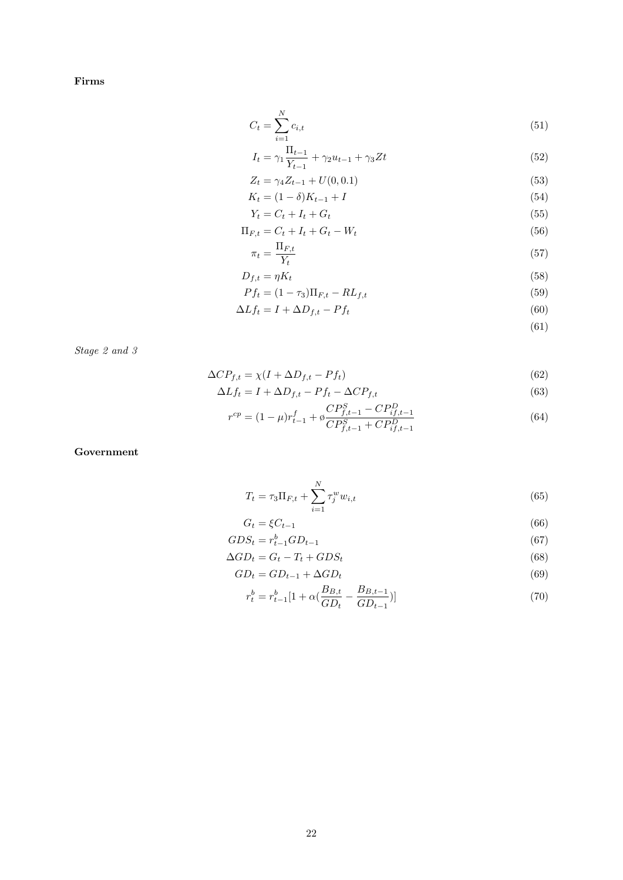Firms

$$
C_t = \sum_{i=1}^{N} c_{i,t}
$$
\n(51)

$$
I_t = \gamma_1 \frac{\Pi_{t-1}}{Y_{t-1}} + \gamma_2 u_{t-1} + \gamma_3 Z t \tag{52}
$$

$$
Z_t = \gamma_4 Z_{t-1} + U(0, 0.1) \tag{53}
$$

$$
K_t = (1 - \delta)K_{t-1} + I \tag{54}
$$

$$
Y_t = C_t + I_t + G_t \tag{55}
$$

$$
\Pi_{F,t} = C_t + I_t + G_t - W_t \tag{56}
$$

$$
\pi_t = \frac{\Pi_{F,t}}{Y_t} \tag{57}
$$

$$
D_{f,t} = \eta K_t \tag{58}
$$

$$
Pf_t = (1 - \tau_3)\Pi_{F,t} - RL_{f,t}
$$
\n(59)

$$
\Delta L f_t = I + \Delta D_{f,t} - P f_t \tag{60}
$$

(61)

Stage 2 and 3

$$
\Delta CP_{f,t} = \chi(I + \Delta D_{f,t} - Pf_t) \tag{62}
$$

$$
\Delta L f_t = I + \Delta D_{f,t} - P f_t - \Delta C P_{f,t} \tag{63}
$$

$$
r^{cp} = (1 - \mu)r_{t-1}^f + \phi \frac{CP_{f,t-1}^S - CP_{if,t-1}^D}{CP_{f,t-1}^S + CP_{if,t-1}^D}
$$
(64)

Government

$$
T_t = \tau_3 \Pi_{F,t} + \sum_{i=1}^{N} \tau_j^w w_{i,t}
$$
\n(65)

$$
G_t = \xi C_{t-1} \tag{66}
$$

$$
GDS_t = r_{t-1}^b G D_{t-1} \tag{67}
$$

$$
\Delta GD_t = G_t - T_t + GDS_t \tag{68}
$$

$$
GD_t = GD_{t-1} + \Delta GD_t \tag{69}
$$

$$
r_t^b = r_{t-1}^b [1 + \alpha \left( \frac{B_{B,t}}{GD_t} - \frac{B_{B,t-1}}{GD_{t-1}}) \right]
$$
\n(70)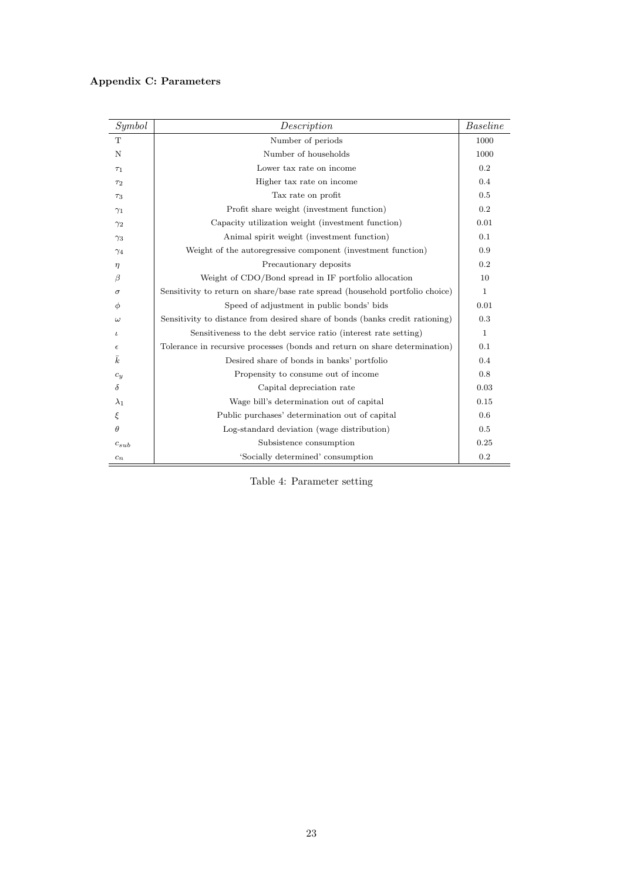## Appendix C: Parameters

| Symbol      | Description                                                                  | <b>Baseline</b> |
|-------------|------------------------------------------------------------------------------|-----------------|
| T           | Number of periods                                                            | 1000            |
| N           | Number of households                                                         | 1000            |
| $\tau_1$    | Lower tax rate on income                                                     | 0.2             |
| $\tau_2$    | Higher tax rate on income                                                    | 0.4             |
| $\tau_3$    | Tax rate on profit                                                           | 0.5             |
| $\gamma_1$  | Profit share weight (investment function)                                    | 0.2             |
| $\gamma_2$  | Capacity utilization weight (investment function)                            | 0.01            |
| $\gamma_3$  | Animal spirit weight (investment function)                                   | 0.1             |
| $\gamma_4$  | Weight of the autoregressive component (investment function)                 | 0.9             |
| $\eta$      | Precautionary deposits                                                       | 0.2             |
| β           | Weight of CDO/Bond spread in IF portfolio allocation                         | 10              |
| $\sigma$    | Sensitivity to return on share/base rate spread (household portfolio choice) | $\mathbf{1}$    |
| Φ           | Speed of adjustment in public bonds' bids                                    | 0.01            |
| $\omega$    | Sensitivity to distance from desired share of bonds (banks credit rationing) | 0.3             |
| ι           | Sensitiveness to the debt service ratio (interest rate setting)              | $\mathbf{1}$    |
| $\epsilon$  | Tolerance in recursive processes (bonds and return on share determination)   | 0.1             |
| $\bar{k}$   | Desired share of bonds in banks' portfolio                                   | 0.4             |
| $c_y$       | Propensity to consume out of income                                          | 0.8             |
| $\delta$    | Capital depreciation rate                                                    | 0.03            |
| $\lambda_1$ | Wage bill's determination out of capital                                     | 0.15            |
| ξ           | Public purchases' determination out of capital                               | 0.6             |
| $\theta$    | Log-standard deviation (wage distribution)                                   | 0.5             |
| $c_{sub}$   | Subsistence consumption                                                      | 0.25            |
| $c_n$       | 'Socially determined' consumption                                            | 0.2             |

Table 4: Parameter setting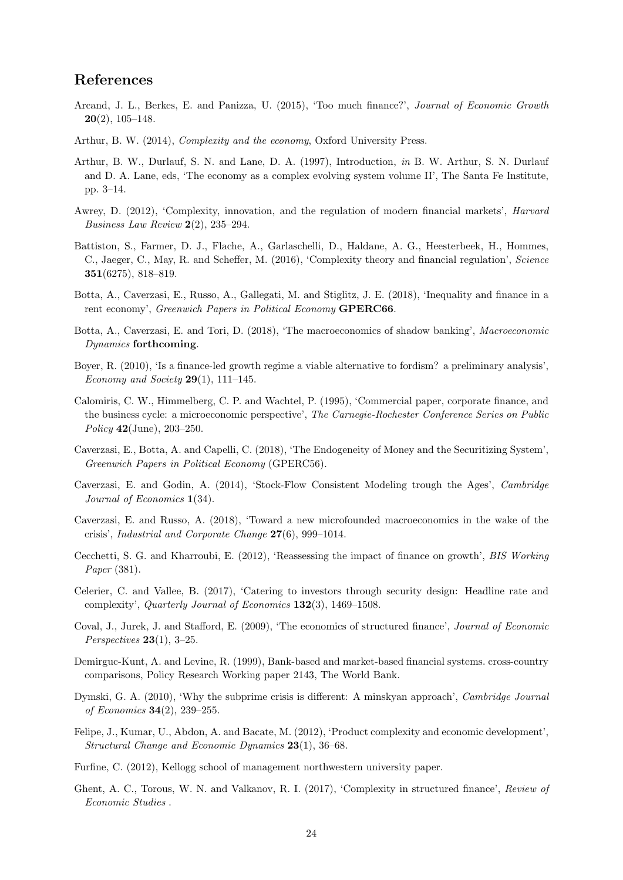## <span id="page-26-0"></span>References

- Arcand, J. L., Berkes, E. and Panizza, U. (2015), 'Too much finance?', Journal of Economic Growth  $20(2)$ , 105–148.
- Arthur, B. W. (2014), Complexity and the economy, Oxford University Press.
- Arthur, B. W., Durlauf, S. N. and Lane, D. A. (1997), Introduction, in B. W. Arthur, S. N. Durlauf and D. A. Lane, eds, 'The economy as a complex evolving system volume II', The Santa Fe Institute, pp. 3–14.
- Awrey, D. (2012), 'Complexity, innovation, and the regulation of modern financial markets', Harvard Business Law Review 2(2), 235–294.
- Battiston, S., Farmer, D. J., Flache, A., Garlaschelli, D., Haldane, A. G., Heesterbeek, H., Hommes, C., Jaeger, C., May, R. and Scheffer, M. (2016), 'Complexity theory and financial regulation', Science 351(6275), 818–819.
- Botta, A., Caverzasi, E., Russo, A., Gallegati, M. and Stiglitz, J. E. (2018), 'Inequality and finance in a rent economy', Greenwich Papers in Political Economy GPERC66.
- Botta, A., Caverzasi, E. and Tori, D. (2018), 'The macroeconomics of shadow banking', Macroeconomic Dynamics forthcoming.
- Boyer, R. (2010), 'Is a finance-led growth regime a viable alternative to fordism? a preliminary analysis', Economy and Society  $29(1)$ , 111–145.
- Calomiris, C. W., Himmelberg, C. P. and Wachtel, P. (1995), 'Commercial paper, corporate finance, and the business cycle: a microeconomic perspective', The Carnegie-Rochester Conference Series on Public Policy 42(June), 203–250.
- Caverzasi, E., Botta, A. and Capelli, C. (2018), 'The Endogeneity of Money and the Securitizing System', Greenwich Papers in Political Economy (GPERC56).
- Caverzasi, E. and Godin, A. (2014), 'Stock-Flow Consistent Modeling trough the Ages', Cambridge Journal of Economics 1(34).
- Caverzasi, E. and Russo, A. (2018), 'Toward a new microfounded macroeconomics in the wake of the crisis', Industrial and Corporate Change 27(6), 999–1014.
- Cecchetti, S. G. and Kharroubi, E. (2012), 'Reassessing the impact of finance on growth', BIS Working Paper (381).
- Celerier, C. and Vallee, B. (2017), 'Catering to investors through security design: Headline rate and complexity', Quarterly Journal of Economics 132(3), 1469–1508.
- Coval, J., Jurek, J. and Stafford, E. (2009), 'The economics of structured finance', Journal of Economic Perspectives  $23(1)$ , 3-25.
- Demirguc-Kunt, A. and Levine, R. (1999), Bank-based and market-based financial systems. cross-country comparisons, Policy Research Working paper 2143, The World Bank.
- Dymski, G. A. (2010), 'Why the subprime crisis is different: A minskyan approach', Cambridge Journal of Economics 34(2), 239–255.
- Felipe, J., Kumar, U., Abdon, A. and Bacate, M. (2012), 'Product complexity and economic development', Structural Change and Economic Dynamics 23(1), 36–68.
- Furfine, C. (2012), Kellogg school of management northwestern university paper.
- Ghent, A. C., Torous, W. N. and Valkanov, R. I. (2017), 'Complexity in structured finance', Review of Economic Studies .